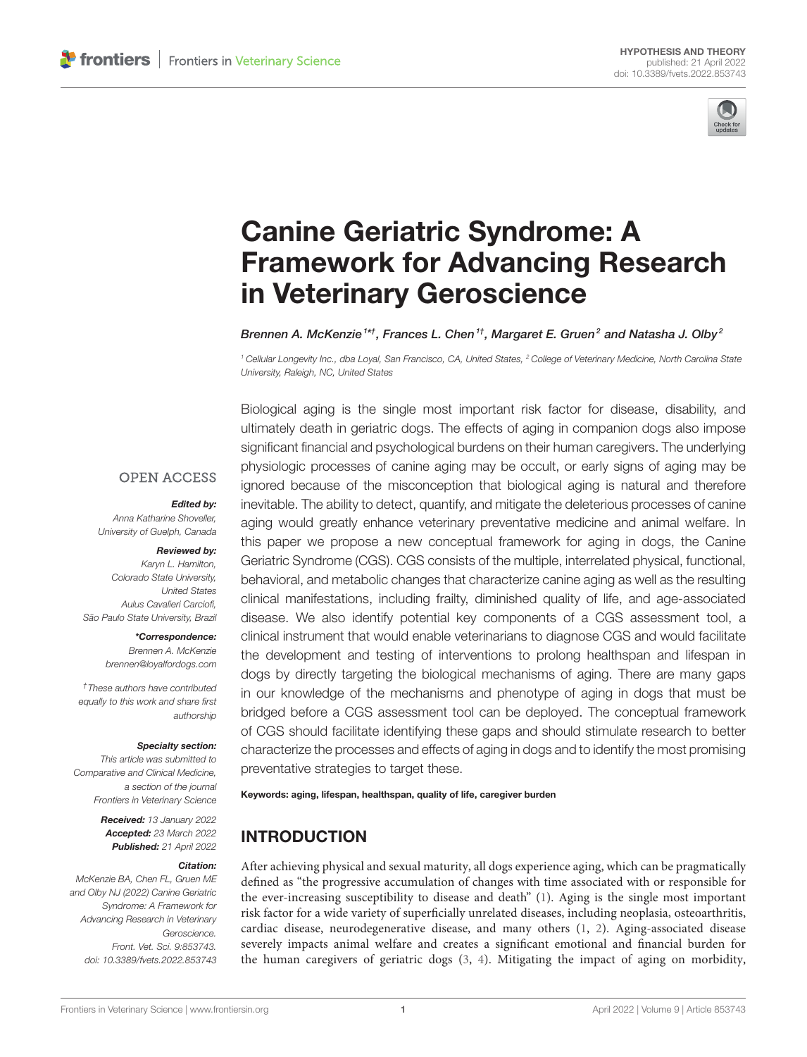

# Canine Geriatric Syndrome: A [Framework for Advancing Research](https://www.frontiersin.org/articles/10.3389/fvets.2022.853743/full) in Veterinary Geroscience

Brennen A. McKenzie  $^{\rm 1st}$ , Frances L. Chen  $^{\rm 1t}$ , Margaret E. Gruen $^{\rm 2}$  and Natasha J. Olby  $^{\rm 2}$ 

<sup>1</sup> Cellular Longevity Inc., dba Loyal, San Francisco, CA, United States, <sup>2</sup> College of Veterinary Medicine, North Carolina State University, Raleigh, NC, United States

Biological aging is the single most important risk factor for disease, disability, and ultimately death in geriatric dogs. The effects of aging in companion dogs also impose significant financial and psychological burdens on their human caregivers. The underlying physiologic processes of canine aging may be occult, or early signs of aging may be ignored because of the misconception that biological aging is natural and therefore inevitable. The ability to detect, quantify, and mitigate the deleterious processes of canine aging would greatly enhance veterinary preventative medicine and animal welfare. In this paper we propose a new conceptual framework for aging in dogs, the Canine Geriatric Syndrome (CGS). CGS consists of the multiple, interrelated physical, functional, behavioral, and metabolic changes that characterize canine aging as well as the resulting clinical manifestations, including frailty, diminished quality of life, and age-associated disease. We also identify potential key components of a CGS assessment tool, a clinical instrument that would enable veterinarians to diagnose CGS and would facilitate the development and testing of interventions to prolong healthspan and lifespan in dogs by directly targeting the biological mechanisms of aging. There are many gaps in our knowledge of the mechanisms and phenotype of aging in dogs that must be bridged before a CGS assessment tool can be deployed. The conceptual framework of CGS should facilitate identifying these gaps and should stimulate research to better characterize the processes and effects of aging in dogs and to identify the most promising preventative strategies to target these.

Keywords: aging, lifespan, healthspan, quality of life, caregiver burden

# INTRODUCTION

After achieving physical and sexual maturity, all dogs experience aging, which can be pragmatically defined as "the progressive accumulation of changes with time associated with or responsible for the ever-increasing susceptibility to disease and death" [\(1\)](#page-8-0). Aging is the single most important risk factor for a wide variety of superficially unrelated diseases, including neoplasia, osteoarthritis, cardiac disease, neurodegenerative disease, and many others [\(1,](#page-8-0) [2\)](#page-8-1). Aging-associated disease severely impacts animal welfare and creates a significant emotional and financial burden for the human caregivers of geriatric dogs [\(3,](#page-8-2) [4\)](#page-8-3). Mitigating the impact of aging on morbidity,

## **OPEN ACCESS**

#### Edited by:

Anna Katharine Shoveller, University of Guelph, Canada

#### Reviewed by:

Karyn L. Hamilton, Colorado State University, United States Aulus Cavalieri Carciofi, São Paulo State University, Brazil

> \*Correspondence: Brennen A. McKenzie [brennen@loyalfordogs.com](mailto:brennen@loyalfordogs.com)

†These authors have contributed equally to this work and share first authorship

#### Specialty section:

This article was submitted to Comparative and Clinical Medicine, a section of the journal Frontiers in Veterinary Science

> Received: 13 January 2022 Accepted: 23 March 2022 Published: 21 April 2022

#### Citation:

McKenzie BA, Chen FL, Gruen ME and Olby NJ (2022) Canine Geriatric Syndrome: A Framework for Advancing Research in Veterinary Geroscience. Front. Vet. Sci. 9:853743. doi: [10.3389/fvets.2022.853743](https://doi.org/10.3389/fvets.2022.853743)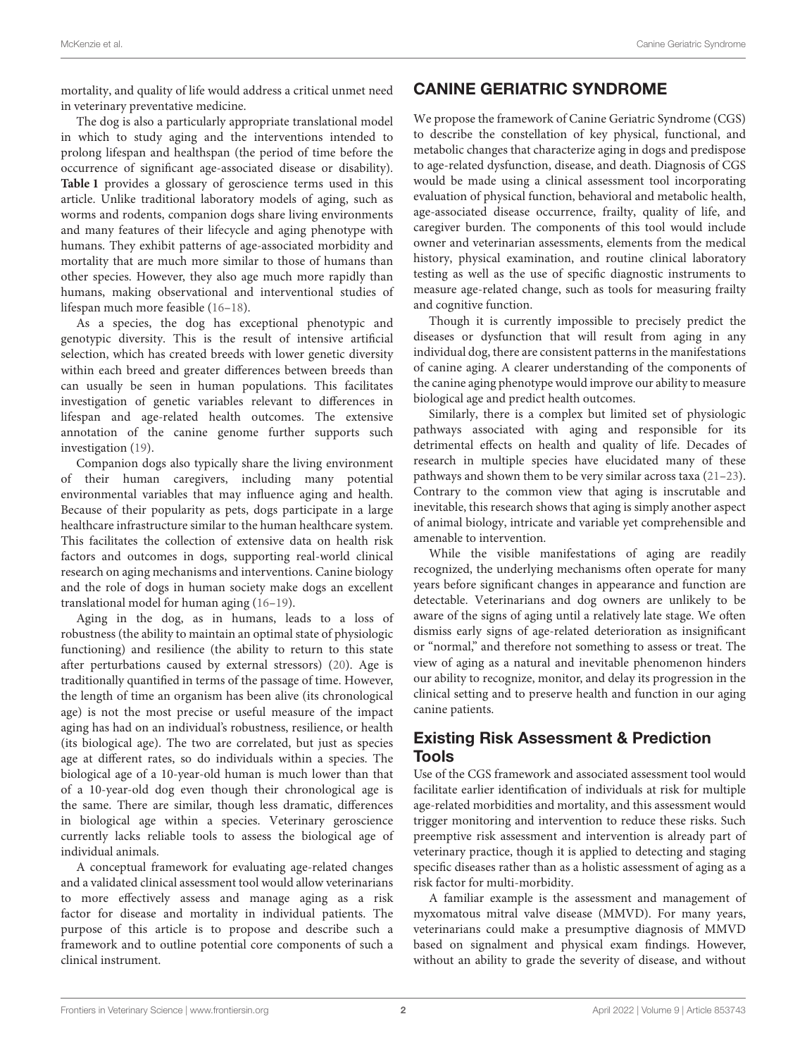mortality, and quality of life would address a critical unmet need in veterinary preventative medicine.

The dog is also a particularly appropriate translational model in which to study aging and the interventions intended to prolong lifespan and healthspan (the period of time before the occurrence of significant age-associated disease or disability). **[Table 1](#page-2-0)** provides a glossary of geroscience terms used in this article. Unlike traditional laboratory models of aging, such as worms and rodents, companion dogs share living environments and many features of their lifecycle and aging phenotype with humans. They exhibit patterns of age-associated morbidity and mortality that are much more similar to those of humans than other species. However, they also age much more rapidly than humans, making observational and interventional studies of lifespan much more feasible [\(16](#page-8-4)[–18\)](#page-8-5).

As a species, the dog has exceptional phenotypic and genotypic diversity. This is the result of intensive artificial selection, which has created breeds with lower genetic diversity within each breed and greater differences between breeds than can usually be seen in human populations. This facilitates investigation of genetic variables relevant to differences in lifespan and age-related health outcomes. The extensive annotation of the canine genome further supports such investigation [\(19\)](#page-8-6).

Companion dogs also typically share the living environment of their human caregivers, including many potential environmental variables that may influence aging and health. Because of their popularity as pets, dogs participate in a large healthcare infrastructure similar to the human healthcare system. This facilitates the collection of extensive data on health risk factors and outcomes in dogs, supporting real-world clinical research on aging mechanisms and interventions. Canine biology and the role of dogs in human society make dogs an excellent translational model for human aging [\(16–](#page-8-4)[19\)](#page-8-6).

Aging in the dog, as in humans, leads to a loss of robustness (the ability to maintain an optimal state of physiologic functioning) and resilience (the ability to return to this state after perturbations caused by external stressors) [\(20\)](#page-8-7). Age is traditionally quantified in terms of the passage of time. However, the length of time an organism has been alive (its chronological age) is not the most precise or useful measure of the impact aging has had on an individual's robustness, resilience, or health (its biological age). The two are correlated, but just as species age at different rates, so do individuals within a species. The biological age of a 10-year-old human is much lower than that of a 10-year-old dog even though their chronological age is the same. There are similar, though less dramatic, differences in biological age within a species. Veterinary geroscience currently lacks reliable tools to assess the biological age of individual animals.

A conceptual framework for evaluating age-related changes and a validated clinical assessment tool would allow veterinarians to more effectively assess and manage aging as a risk factor for disease and mortality in individual patients. The purpose of this article is to propose and describe such a framework and to outline potential core components of such a clinical instrument.

# CANINE GERIATRIC SYNDROME

We propose the framework of Canine Geriatric Syndrome (CGS) to describe the constellation of key physical, functional, and metabolic changes that characterize aging in dogs and predispose to age-related dysfunction, disease, and death. Diagnosis of CGS would be made using a clinical assessment tool incorporating evaluation of physical function, behavioral and metabolic health, age-associated disease occurrence, frailty, quality of life, and caregiver burden. The components of this tool would include owner and veterinarian assessments, elements from the medical history, physical examination, and routine clinical laboratory testing as well as the use of specific diagnostic instruments to measure age-related change, such as tools for measuring frailty and cognitive function.

Though it is currently impossible to precisely predict the diseases or dysfunction that will result from aging in any individual dog, there are consistent patterns in the manifestations of canine aging. A clearer understanding of the components of the canine aging phenotype would improve our ability to measure biological age and predict health outcomes.

Similarly, there is a complex but limited set of physiologic pathways associated with aging and responsible for its detrimental effects on health and quality of life. Decades of research in multiple species have elucidated many of these pathways and shown them to be very similar across taxa [\(21–](#page-8-8)[23\)](#page-8-9). Contrary to the common view that aging is inscrutable and inevitable, this research shows that aging is simply another aspect of animal biology, intricate and variable yet comprehensible and amenable to intervention.

While the visible manifestations of aging are readily recognized, the underlying mechanisms often operate for many years before significant changes in appearance and function are detectable. Veterinarians and dog owners are unlikely to be aware of the signs of aging until a relatively late stage. We often dismiss early signs of age-related deterioration as insignificant or "normal," and therefore not something to assess or treat. The view of aging as a natural and inevitable phenomenon hinders our ability to recognize, monitor, and delay its progression in the clinical setting and to preserve health and function in our aging canine patients.

## Existing Risk Assessment & Prediction Tools

Use of the CGS framework and associated assessment tool would facilitate earlier identification of individuals at risk for multiple age-related morbidities and mortality, and this assessment would trigger monitoring and intervention to reduce these risks. Such preemptive risk assessment and intervention is already part of veterinary practice, though it is applied to detecting and staging specific diseases rather than as a holistic assessment of aging as a risk factor for multi-morbidity.

A familiar example is the assessment and management of myxomatous mitral valve disease (MMVD). For many years, veterinarians could make a presumptive diagnosis of MMVD based on signalment and physical exam findings. However, without an ability to grade the severity of disease, and without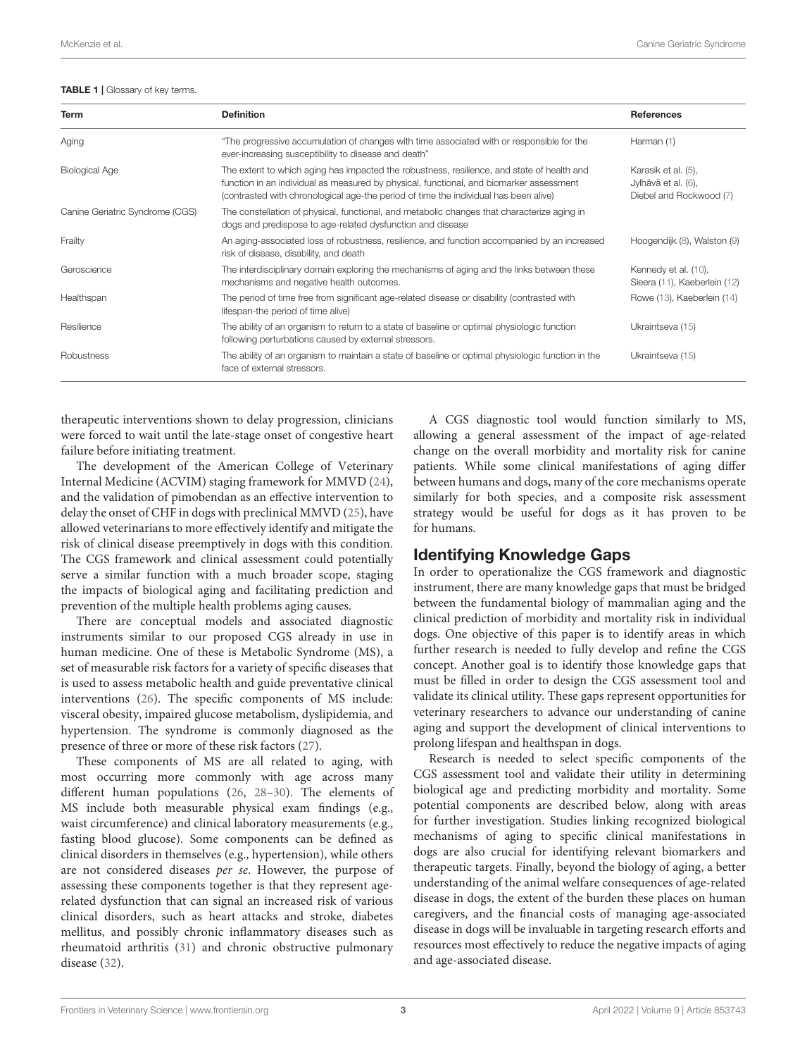<span id="page-2-0"></span>TABLE 1 | Glossary of key terms.

| <b>Term</b>                     | <b>Definition</b>                                                                                                                                                                                                                                                             | <b>References</b>                                                     |
|---------------------------------|-------------------------------------------------------------------------------------------------------------------------------------------------------------------------------------------------------------------------------------------------------------------------------|-----------------------------------------------------------------------|
| Aging                           | "The progressive accumulation of changes with time associated with or responsible for the<br>ever-increasing susceptibility to disease and death"                                                                                                                             | Harman (1)                                                            |
| <b>Biological Age</b>           | The extent to which aging has impacted the robustness, resilience, and state of health and<br>function in an individual as measured by physical, functional, and biomarker assessment<br>(contrasted with chronological age-the period of time the individual has been alive) | Karasik et al. (5),<br>Jylhävä et al. (6),<br>Diebel and Rockwood (7) |
| Canine Geriatric Syndrome (CGS) | The constellation of physical, functional, and metabolic changes that characterize aging in<br>dogs and predispose to age-related dysfunction and disease                                                                                                                     |                                                                       |
| Frailty                         | An aging-associated loss of robustness, resilience, and function accompanied by an increased<br>risk of disease, disability, and death                                                                                                                                        | Hoogendijk (8), Walston (9)                                           |
| Geroscience                     | The interdisciplinary domain exploring the mechanisms of aging and the links between these<br>mechanisms and negative health outcomes.                                                                                                                                        | Kennedy et al. (10),<br>Sieera (11), Kaeberlein (12)                  |
| Healthspan                      | The period of time free from significant age-related disease or disability (contrasted with<br>lifespan-the period of time alive)                                                                                                                                             | Rowe (13), Kaeberlein (14)                                            |
| Resilience                      | The ability of an organism to return to a state of baseline or optimal physiologic function<br>following perturbations caused by external stressors.                                                                                                                          | Ukraintseva (15)                                                      |
| Robustness                      | The ability of an organism to maintain a state of baseline or optimal physiologic function in the<br>face of external stressors.                                                                                                                                              | Ukraintseva (15)                                                      |

therapeutic interventions shown to delay progression, clinicians were forced to wait until the late-stage onset of congestive heart failure before initiating treatment.

The development of the American College of Veterinary Internal Medicine (ACVIM) staging framework for MMVD [\(24\)](#page-8-21), and the validation of pimobendan as an effective intervention to delay the onset of CHF in dogs with preclinical MMVD [\(25\)](#page-8-22), have allowed veterinarians to more effectively identify and mitigate the risk of clinical disease preemptively in dogs with this condition. The CGS framework and clinical assessment could potentially serve a similar function with a much broader scope, staging the impacts of biological aging and facilitating prediction and prevention of the multiple health problems aging causes.

There are conceptual models and associated diagnostic instruments similar to our proposed CGS already in use in human medicine. One of these is Metabolic Syndrome (MS), a set of measurable risk factors for a variety of specific diseases that is used to assess metabolic health and guide preventative clinical interventions [\(26\)](#page-8-23). The specific components of MS include: visceral obesity, impaired glucose metabolism, dyslipidemia, and hypertension. The syndrome is commonly diagnosed as the presence of three or more of these risk factors [\(27\)](#page-8-24).

These components of MS are all related to aging, with most occurring more commonly with age across many different human populations [\(26,](#page-8-23) [28–](#page-8-25)[30\)](#page-8-26). The elements of MS include both measurable physical exam findings (e.g., waist circumference) and clinical laboratory measurements (e.g., fasting blood glucose). Some components can be defined as clinical disorders in themselves (e.g., hypertension), while others are not considered diseases per se. However, the purpose of assessing these components together is that they represent agerelated dysfunction that can signal an increased risk of various clinical disorders, such as heart attacks and stroke, diabetes mellitus, and possibly chronic inflammatory diseases such as rheumatoid arthritis [\(31\)](#page-9-0) and chronic obstructive pulmonary disease [\(32\)](#page-9-1).

A CGS diagnostic tool would function similarly to MS, allowing a general assessment of the impact of age-related change on the overall morbidity and mortality risk for canine patients. While some clinical manifestations of aging differ between humans and dogs, many of the core mechanisms operate similarly for both species, and a composite risk assessment strategy would be useful for dogs as it has proven to be for humans.

## Identifying Knowledge Gaps

In order to operationalize the CGS framework and diagnostic instrument, there are many knowledge gaps that must be bridged between the fundamental biology of mammalian aging and the clinical prediction of morbidity and mortality risk in individual dogs. One objective of this paper is to identify areas in which further research is needed to fully develop and refine the CGS concept. Another goal is to identify those knowledge gaps that must be filled in order to design the CGS assessment tool and validate its clinical utility. These gaps represent opportunities for veterinary researchers to advance our understanding of canine aging and support the development of clinical interventions to prolong lifespan and healthspan in dogs.

Research is needed to select specific components of the CGS assessment tool and validate their utility in determining biological age and predicting morbidity and mortality. Some potential components are described below, along with areas for further investigation. Studies linking recognized biological mechanisms of aging to specific clinical manifestations in dogs are also crucial for identifying relevant biomarkers and therapeutic targets. Finally, beyond the biology of aging, a better understanding of the animal welfare consequences of age-related disease in dogs, the extent of the burden these places on human caregivers, and the financial costs of managing age-associated disease in dogs will be invaluable in targeting research efforts and resources most effectively to reduce the negative impacts of aging and age-associated disease.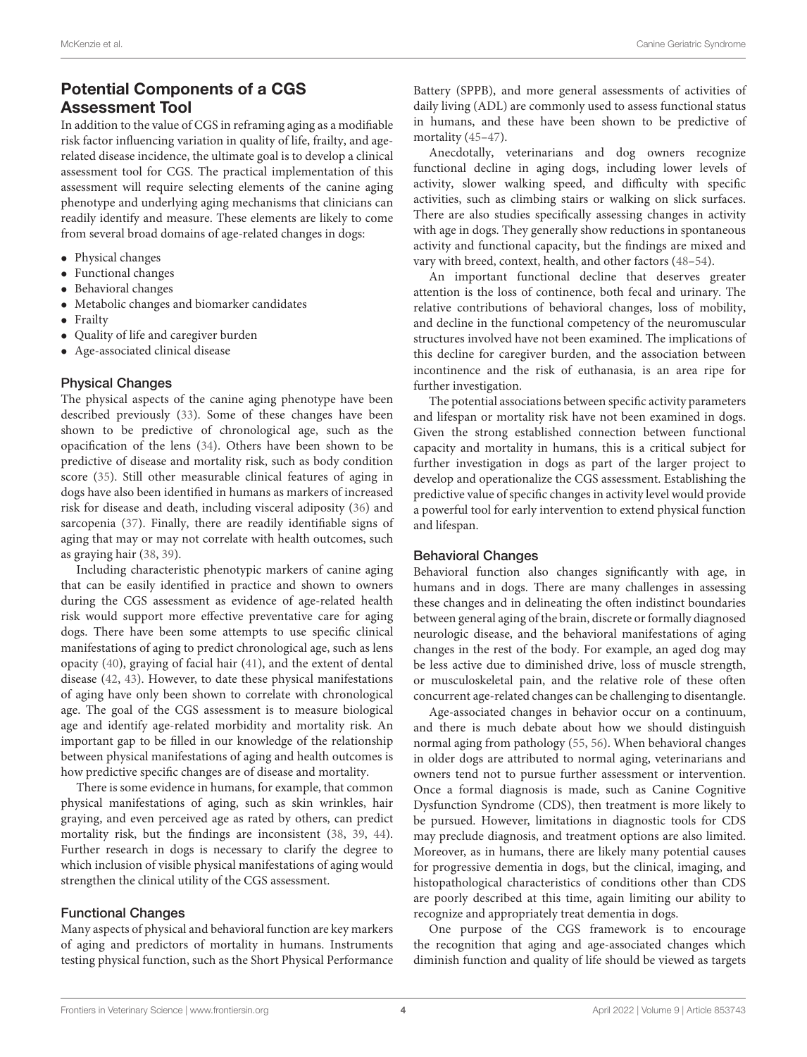## Potential Components of a CGS Assessment Tool

In addition to the value of CGS in reframing aging as a modifiable risk factor influencing variation in quality of life, frailty, and agerelated disease incidence, the ultimate goal is to develop a clinical assessment tool for CGS. The practical implementation of this assessment will require selecting elements of the canine aging phenotype and underlying aging mechanisms that clinicians can readily identify and measure. These elements are likely to come from several broad domains of age-related changes in dogs:

- Physical changes
- Functional changes
- Behavioral changes
- Metabolic changes and biomarker candidates
- Frailty
- Quality of life and caregiver burden
- Age-associated clinical disease

#### Physical Changes

The physical aspects of the canine aging phenotype have been described previously [\(33\)](#page-9-2). Some of these changes have been shown to be predictive of chronological age, such as the opacification of the lens [\(34\)](#page-9-3). Others have been shown to be predictive of disease and mortality risk, such as body condition score [\(35\)](#page-9-4). Still other measurable clinical features of aging in dogs have also been identified in humans as markers of increased risk for disease and death, including visceral adiposity [\(36\)](#page-9-5) and sarcopenia [\(37\)](#page-9-6). Finally, there are readily identifiable signs of aging that may or may not correlate with health outcomes, such as graying hair [\(38,](#page-9-7) [39\)](#page-9-8).

Including characteristic phenotypic markers of canine aging that can be easily identified in practice and shown to owners during the CGS assessment as evidence of age-related health risk would support more effective preventative care for aging dogs. There have been some attempts to use specific clinical manifestations of aging to predict chronological age, such as lens opacity [\(40\)](#page-9-9), graying of facial hair [\(41\)](#page-9-10), and the extent of dental disease [\(42,](#page-9-11) [43\)](#page-9-12). However, to date these physical manifestations of aging have only been shown to correlate with chronological age. The goal of the CGS assessment is to measure biological age and identify age-related morbidity and mortality risk. An important gap to be filled in our knowledge of the relationship between physical manifestations of aging and health outcomes is how predictive specific changes are of disease and mortality.

There is some evidence in humans, for example, that common physical manifestations of aging, such as skin wrinkles, hair graying, and even perceived age as rated by others, can predict mortality risk, but the findings are inconsistent [\(38,](#page-9-7) [39,](#page-9-8) [44\)](#page-9-13). Further research in dogs is necessary to clarify the degree to which inclusion of visible physical manifestations of aging would strengthen the clinical utility of the CGS assessment.

#### Functional Changes

Many aspects of physical and behavioral function are key markers of aging and predictors of mortality in humans. Instruments testing physical function, such as the Short Physical Performance Battery (SPPB), and more general assessments of activities of daily living (ADL) are commonly used to assess functional status in humans, and these have been shown to be predictive of mortality [\(45–](#page-9-14)[47\)](#page-9-15).

Anecdotally, veterinarians and dog owners recognize functional decline in aging dogs, including lower levels of activity, slower walking speed, and difficulty with specific activities, such as climbing stairs or walking on slick surfaces. There are also studies specifically assessing changes in activity with age in dogs. They generally show reductions in spontaneous activity and functional capacity, but the findings are mixed and vary with breed, context, health, and other factors [\(48–](#page-9-16)[54\)](#page-9-17).

An important functional decline that deserves greater attention is the loss of continence, both fecal and urinary. The relative contributions of behavioral changes, loss of mobility, and decline in the functional competency of the neuromuscular structures involved have not been examined. The implications of this decline for caregiver burden, and the association between incontinence and the risk of euthanasia, is an area ripe for further investigation.

The potential associations between specific activity parameters and lifespan or mortality risk have not been examined in dogs. Given the strong established connection between functional capacity and mortality in humans, this is a critical subject for further investigation in dogs as part of the larger project to develop and operationalize the CGS assessment. Establishing the predictive value of specific changes in activity level would provide a powerful tool for early intervention to extend physical function and lifespan.

#### Behavioral Changes

Behavioral function also changes significantly with age, in humans and in dogs. There are many challenges in assessing these changes and in delineating the often indistinct boundaries between general aging of the brain, discrete or formally diagnosed neurologic disease, and the behavioral manifestations of aging changes in the rest of the body. For example, an aged dog may be less active due to diminished drive, loss of muscle strength, or musculoskeletal pain, and the relative role of these often concurrent age-related changes can be challenging to disentangle.

Age-associated changes in behavior occur on a continuum, and there is much debate about how we should distinguish normal aging from pathology [\(55,](#page-9-18) [56\)](#page-9-19). When behavioral changes in older dogs are attributed to normal aging, veterinarians and owners tend not to pursue further assessment or intervention. Once a formal diagnosis is made, such as Canine Cognitive Dysfunction Syndrome (CDS), then treatment is more likely to be pursued. However, limitations in diagnostic tools for CDS may preclude diagnosis, and treatment options are also limited. Moreover, as in humans, there are likely many potential causes for progressive dementia in dogs, but the clinical, imaging, and histopathological characteristics of conditions other than CDS are poorly described at this time, again limiting our ability to recognize and appropriately treat dementia in dogs.

One purpose of the CGS framework is to encourage the recognition that aging and age-associated changes which diminish function and quality of life should be viewed as targets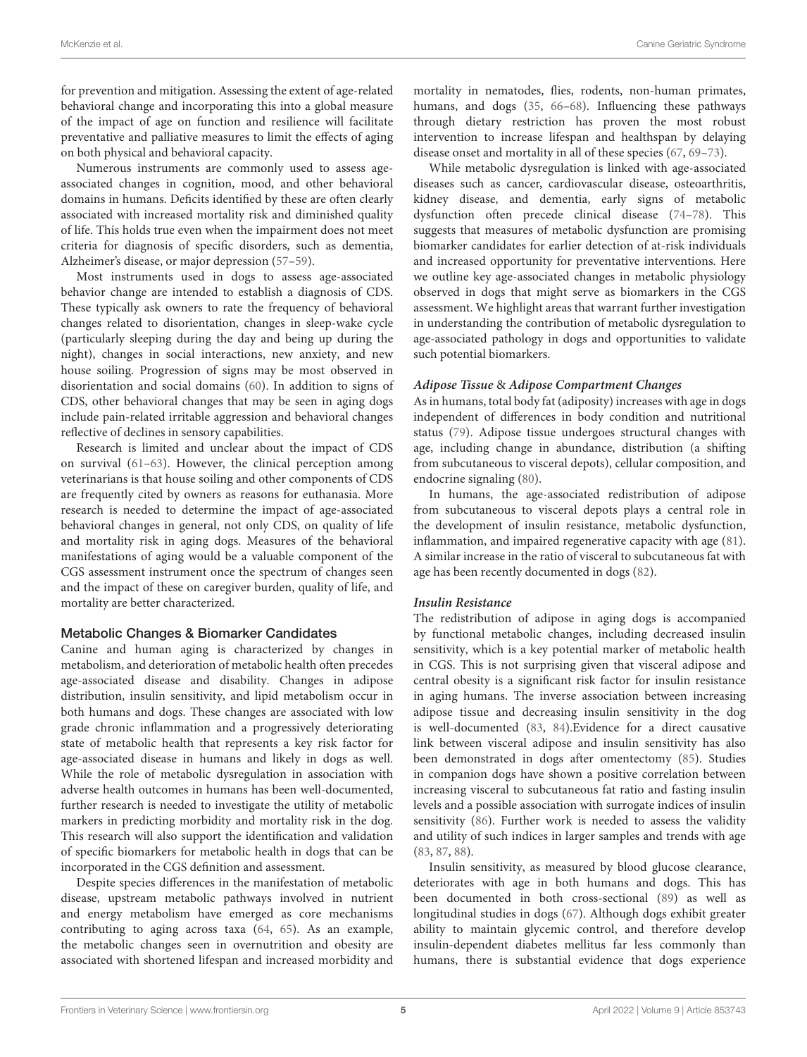for prevention and mitigation. Assessing the extent of age-related behavioral change and incorporating this into a global measure of the impact of age on function and resilience will facilitate preventative and palliative measures to limit the effects of aging on both physical and behavioral capacity.

Numerous instruments are commonly used to assess ageassociated changes in cognition, mood, and other behavioral domains in humans. Deficits identified by these are often clearly associated with increased mortality risk and diminished quality of life. This holds true even when the impairment does not meet criteria for diagnosis of specific disorders, such as dementia, Alzheimer's disease, or major depression [\(57–](#page-9-20)[59\)](#page-9-21).

Most instruments used in dogs to assess age-associated behavior change are intended to establish a diagnosis of CDS. These typically ask owners to rate the frequency of behavioral changes related to disorientation, changes in sleep-wake cycle (particularly sleeping during the day and being up during the night), changes in social interactions, new anxiety, and new house soiling. Progression of signs may be most observed in disorientation and social domains [\(60\)](#page-9-22). In addition to signs of CDS, other behavioral changes that may be seen in aging dogs include pain-related irritable aggression and behavioral changes reflective of declines in sensory capabilities.

Research is limited and unclear about the impact of CDS on survival [\(61](#page-9-23)[–63\)](#page-9-24). However, the clinical perception among veterinarians is that house soiling and other components of CDS are frequently cited by owners as reasons for euthanasia. More research is needed to determine the impact of age-associated behavioral changes in general, not only CDS, on quality of life and mortality risk in aging dogs. Measures of the behavioral manifestations of aging would be a valuable component of the CGS assessment instrument once the spectrum of changes seen and the impact of these on caregiver burden, quality of life, and mortality are better characterized.

#### Metabolic Changes & Biomarker Candidates

Canine and human aging is characterized by changes in metabolism, and deterioration of metabolic health often precedes age-associated disease and disability. Changes in adipose distribution, insulin sensitivity, and lipid metabolism occur in both humans and dogs. These changes are associated with low grade chronic inflammation and a progressively deteriorating state of metabolic health that represents a key risk factor for age-associated disease in humans and likely in dogs as well. While the role of metabolic dysregulation in association with adverse health outcomes in humans has been well-documented, further research is needed to investigate the utility of metabolic markers in predicting morbidity and mortality risk in the dog. This research will also support the identification and validation of specific biomarkers for metabolic health in dogs that can be incorporated in the CGS definition and assessment.

Despite species differences in the manifestation of metabolic disease, upstream metabolic pathways involved in nutrient and energy metabolism have emerged as core mechanisms contributing to aging across taxa [\(64,](#page-9-25) [65\)](#page-9-26). As an example, the metabolic changes seen in overnutrition and obesity are associated with shortened lifespan and increased morbidity and mortality in nematodes, flies, rodents, non-human primates, humans, and dogs [\(35,](#page-9-4) [66–](#page-9-27)[68\)](#page-9-28). Influencing these pathways through dietary restriction has proven the most robust intervention to increase lifespan and healthspan by delaying disease onset and mortality in all of these species [\(67,](#page-9-29) [69](#page-9-30)[–73\)](#page-9-31).

While metabolic dysregulation is linked with age-associated diseases such as cancer, cardiovascular disease, osteoarthritis, kidney disease, and dementia, early signs of metabolic dysfunction often precede clinical disease [\(74](#page-10-0)[–78\)](#page-10-1). This suggests that measures of metabolic dysfunction are promising biomarker candidates for earlier detection of at-risk individuals and increased opportunity for preventative interventions. Here we outline key age-associated changes in metabolic physiology observed in dogs that might serve as biomarkers in the CGS assessment. We highlight areas that warrant further investigation in understanding the contribution of metabolic dysregulation to age-associated pathology in dogs and opportunities to validate such potential biomarkers.

#### **Adipose Tissue** & **Adipose Compartment Changes**

As in humans, total body fat (adiposity) increases with age in dogs independent of differences in body condition and nutritional status [\(79\)](#page-10-2). Adipose tissue undergoes structural changes with age, including change in abundance, distribution (a shifting from subcutaneous to visceral depots), cellular composition, and endocrine signaling [\(80\)](#page-10-3).

In humans, the age-associated redistribution of adipose from subcutaneous to visceral depots plays a central role in the development of insulin resistance, metabolic dysfunction, inflammation, and impaired regenerative capacity with age [\(81\)](#page-10-4). A similar increase in the ratio of visceral to subcutaneous fat with age has been recently documented in dogs [\(82\)](#page-10-5).

#### **Insulin Resistance**

The redistribution of adipose in aging dogs is accompanied by functional metabolic changes, including decreased insulin sensitivity, which is a key potential marker of metabolic health in CGS. This is not surprising given that visceral adipose and central obesity is a significant risk factor for insulin resistance in aging humans. The inverse association between increasing adipose tissue and decreasing insulin sensitivity in the dog is well-documented [\(83,](#page-10-6) [84\)](#page-10-7).Evidence for a direct causative link between visceral adipose and insulin sensitivity has also been demonstrated in dogs after omentectomy [\(85\)](#page-10-8). Studies in companion dogs have shown a positive correlation between increasing visceral to subcutaneous fat ratio and fasting insulin levels and a possible association with surrogate indices of insulin sensitivity [\(86\)](#page-10-9). Further work is needed to assess the validity and utility of such indices in larger samples and trends with age [\(83,](#page-10-6) [87,](#page-10-10) [88\)](#page-10-11).

Insulin sensitivity, as measured by blood glucose clearance, deteriorates with age in both humans and dogs. This has been documented in both cross-sectional [\(89\)](#page-10-12) as well as longitudinal studies in dogs [\(67\)](#page-9-29). Although dogs exhibit greater ability to maintain glycemic control, and therefore develop insulin-dependent diabetes mellitus far less commonly than humans, there is substantial evidence that dogs experience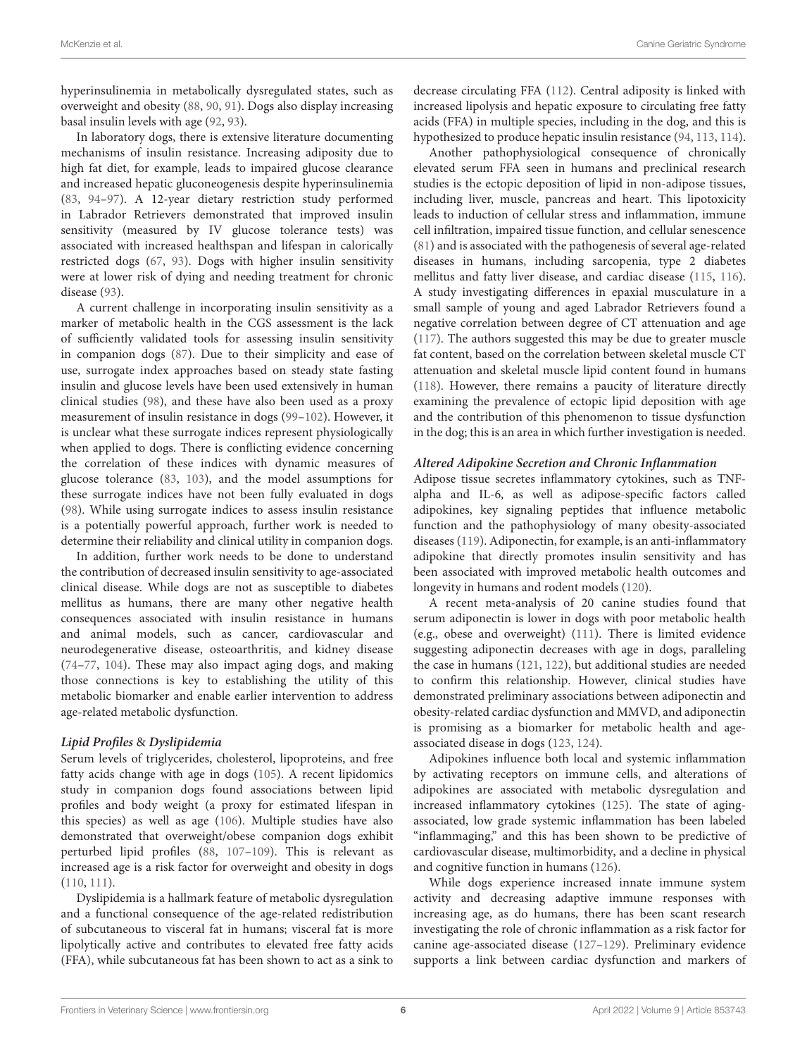hyperinsulinemia in metabolically dysregulated states, such as overweight and obesity [\(88,](#page-10-11) [90,](#page-10-13) [91\)](#page-10-14). Dogs also display increasing basal insulin levels with age [\(92,](#page-10-15) [93\)](#page-10-16).

In laboratory dogs, there is extensive literature documenting mechanisms of insulin resistance. Increasing adiposity due to high fat diet, for example, leads to impaired glucose clearance and increased hepatic gluconeogenesis despite hyperinsulinemia [\(83,](#page-10-6) [94](#page-10-17)[–97\)](#page-10-18). A 12-year dietary restriction study performed in Labrador Retrievers demonstrated that improved insulin sensitivity (measured by IV glucose tolerance tests) was associated with increased healthspan and lifespan in calorically restricted dogs [\(67,](#page-9-29) [93\)](#page-10-16). Dogs with higher insulin sensitivity were at lower risk of dying and needing treatment for chronic disease [\(93\)](#page-10-16).

A current challenge in incorporating insulin sensitivity as a marker of metabolic health in the CGS assessment is the lack of sufficiently validated tools for assessing insulin sensitivity in companion dogs [\(87\)](#page-10-10). Due to their simplicity and ease of use, surrogate index approaches based on steady state fasting insulin and glucose levels have been used extensively in human clinical studies [\(98\)](#page-10-19), and these have also been used as a proxy measurement of insulin resistance in dogs [\(99–](#page-10-20)[102\)](#page-10-21). However, it is unclear what these surrogate indices represent physiologically when applied to dogs. There is conflicting evidence concerning the correlation of these indices with dynamic measures of glucose tolerance [\(83,](#page-10-6) [103\)](#page-10-22), and the model assumptions for these surrogate indices have not been fully evaluated in dogs [\(98\)](#page-10-19). While using surrogate indices to assess insulin resistance is a potentially powerful approach, further work is needed to determine their reliability and clinical utility in companion dogs.

In addition, further work needs to be done to understand the contribution of decreased insulin sensitivity to age-associated clinical disease. While dogs are not as susceptible to diabetes mellitus as humans, there are many other negative health consequences associated with insulin resistance in humans and animal models, such as cancer, cardiovascular and neurodegenerative disease, osteoarthritis, and kidney disease [\(74](#page-10-0)[–77,](#page-10-23) [104\)](#page-10-24). These may also impact aging dogs, and making those connections is key to establishing the utility of this metabolic biomarker and enable earlier intervention to address age-related metabolic dysfunction.

#### **Lipid Profiles** & **Dyslipidemia**

Serum levels of triglycerides, cholesterol, lipoproteins, and free fatty acids change with age in dogs [\(105\)](#page-10-25). A recent lipidomics study in companion dogs found associations between lipid profiles and body weight (a proxy for estimated lifespan in this species) as well as age [\(106\)](#page-10-26). Multiple studies have also demonstrated that overweight/obese companion dogs exhibit perturbed lipid profiles [\(88,](#page-10-11) [107–](#page-10-27)[109\)](#page-10-28). This is relevant as increased age is a risk factor for overweight and obesity in dogs [\(110,](#page-10-29) [111\)](#page-10-30).

Dyslipidemia is a hallmark feature of metabolic dysregulation and a functional consequence of the age-related redistribution of subcutaneous to visceral fat in humans; visceral fat is more lipolytically active and contributes to elevated free fatty acids (FFA), while subcutaneous fat has been shown to act as a sink to decrease circulating FFA [\(112\)](#page-10-31). Central adiposity is linked with increased lipolysis and hepatic exposure to circulating free fatty acids (FFA) in multiple species, including in the dog, and this is hypothesized to produce hepatic insulin resistance [\(94,](#page-10-17) [113,](#page-11-0) [114\)](#page-11-1).

Another pathophysiological consequence of chronically elevated serum FFA seen in humans and preclinical research studies is the ectopic deposition of lipid in non-adipose tissues, including liver, muscle, pancreas and heart. This lipotoxicity leads to induction of cellular stress and inflammation, immune cell infiltration, impaired tissue function, and cellular senescence [\(81\)](#page-10-4) and is associated with the pathogenesis of several age-related diseases in humans, including sarcopenia, type 2 diabetes mellitus and fatty liver disease, and cardiac disease [\(115,](#page-11-2) [116\)](#page-11-3). A study investigating differences in epaxial musculature in a small sample of young and aged Labrador Retrievers found a negative correlation between degree of CT attenuation and age [\(117\)](#page-11-4). The authors suggested this may be due to greater muscle fat content, based on the correlation between skeletal muscle CT attenuation and skeletal muscle lipid content found in humans [\(118\)](#page-11-5). However, there remains a paucity of literature directly examining the prevalence of ectopic lipid deposition with age and the contribution of this phenomenon to tissue dysfunction in the dog; this is an area in which further investigation is needed.

#### **Altered Adipokine Secretion and Chronic Inflammation**

Adipose tissue secretes inflammatory cytokines, such as TNFalpha and IL-6, as well as adipose-specific factors called adipokines, key signaling peptides that influence metabolic function and the pathophysiology of many obesity-associated diseases [\(119\)](#page-11-6). Adiponectin, for example, is an anti-inflammatory adipokine that directly promotes insulin sensitivity and has been associated with improved metabolic health outcomes and longevity in humans and rodent models [\(120\)](#page-11-7).

A recent meta-analysis of 20 canine studies found that serum adiponectin is lower in dogs with poor metabolic health (e.g., obese and overweight) [\(111\)](#page-10-30). There is limited evidence suggesting adiponectin decreases with age in dogs, paralleling the case in humans [\(121,](#page-11-8) [122\)](#page-11-9), but additional studies are needed to confirm this relationship. However, clinical studies have demonstrated preliminary associations between adiponectin and obesity-related cardiac dysfunction and MMVD, and adiponectin is promising as a biomarker for metabolic health and ageassociated disease in dogs [\(123,](#page-11-10) [124\)](#page-11-11).

Adipokines influence both local and systemic inflammation by activating receptors on immune cells, and alterations of adipokines are associated with metabolic dysregulation and increased inflammatory cytokines [\(125\)](#page-11-12). The state of agingassociated, low grade systemic inflammation has been labeled "inflammaging," and this has been shown to be predictive of cardiovascular disease, multimorbidity, and a decline in physical and cognitive function in humans [\(126\)](#page-11-13).

While dogs experience increased innate immune system activity and decreasing adaptive immune responses with increasing age, as do humans, there has been scant research investigating the role of chronic inflammation as a risk factor for canine age-associated disease [\(127](#page-11-14)[–129\)](#page-11-15). Preliminary evidence supports a link between cardiac dysfunction and markers of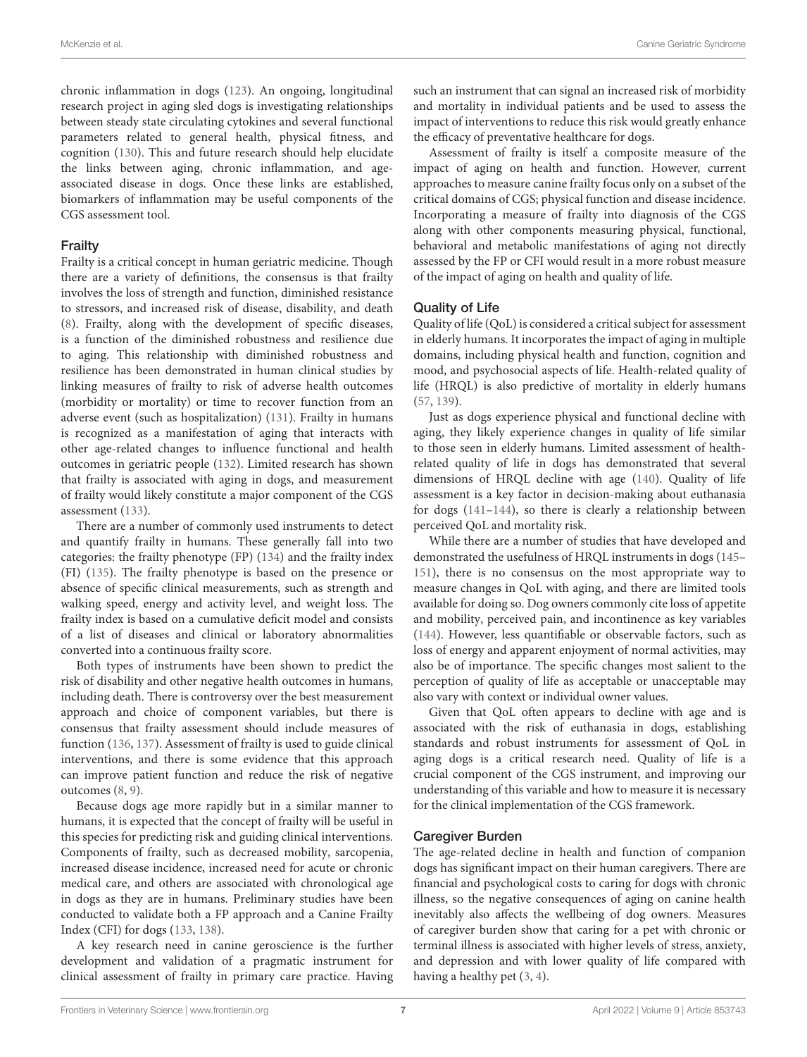chronic inflammation in dogs [\(123\)](#page-11-10). An ongoing, longitudinal research project in aging sled dogs is investigating relationships between steady state circulating cytokines and several functional parameters related to general health, physical fitness, and cognition [\(130\)](#page-11-16). This and future research should help elucidate the links between aging, chronic inflammation, and ageassociated disease in dogs. Once these links are established, biomarkers of inflammation may be useful components of the CGS assessment tool.

#### **Frailty**

Frailty is a critical concept in human geriatric medicine. Though there are a variety of definitions, the consensus is that frailty involves the loss of strength and function, diminished resistance to stressors, and increased risk of disease, disability, and death [\(8\)](#page-8-13). Frailty, along with the development of specific diseases, is a function of the diminished robustness and resilience due to aging. This relationship with diminished robustness and resilience has been demonstrated in human clinical studies by linking measures of frailty to risk of adverse health outcomes (morbidity or mortality) or time to recover function from an adverse event (such as hospitalization) [\(131\)](#page-11-17). Frailty in humans is recognized as a manifestation of aging that interacts with other age-related changes to influence functional and health outcomes in geriatric people [\(132\)](#page-11-18). Limited research has shown that frailty is associated with aging in dogs, and measurement of frailty would likely constitute a major component of the CGS assessment [\(133\)](#page-11-19).

There are a number of commonly used instruments to detect and quantify frailty in humans. These generally fall into two categories: the frailty phenotype (FP) [\(134\)](#page-11-20) and the frailty index (FI) [\(135\)](#page-11-21). The frailty phenotype is based on the presence or absence of specific clinical measurements, such as strength and walking speed, energy and activity level, and weight loss. The frailty index is based on a cumulative deficit model and consists of a list of diseases and clinical or laboratory abnormalities converted into a continuous frailty score.

Both types of instruments have been shown to predict the risk of disability and other negative health outcomes in humans, including death. There is controversy over the best measurement approach and choice of component variables, but there is consensus that frailty assessment should include measures of function [\(136,](#page-11-22) [137\)](#page-11-23). Assessment of frailty is used to guide clinical interventions, and there is some evidence that this approach can improve patient function and reduce the risk of negative outcomes [\(8,](#page-8-13) [9\)](#page-8-14).

Because dogs age more rapidly but in a similar manner to humans, it is expected that the concept of frailty will be useful in this species for predicting risk and guiding clinical interventions. Components of frailty, such as decreased mobility, sarcopenia, increased disease incidence, increased need for acute or chronic medical care, and others are associated with chronological age in dogs as they are in humans. Preliminary studies have been conducted to validate both a FP approach and a Canine Frailty Index (CFI) for dogs [\(133,](#page-11-19) [138\)](#page-11-24).

A key research need in canine geroscience is the further development and validation of a pragmatic instrument for clinical assessment of frailty in primary care practice. Having such an instrument that can signal an increased risk of morbidity and mortality in individual patients and be used to assess the impact of interventions to reduce this risk would greatly enhance the efficacy of preventative healthcare for dogs.

Assessment of frailty is itself a composite measure of the impact of aging on health and function. However, current approaches to measure canine frailty focus only on a subset of the critical domains of CGS; physical function and disease incidence. Incorporating a measure of frailty into diagnosis of the CGS along with other components measuring physical, functional, behavioral and metabolic manifestations of aging not directly assessed by the FP or CFI would result in a more robust measure of the impact of aging on health and quality of life.

### Quality of Life

Quality of life (QoL) is considered a critical subject for assessment in elderly humans. It incorporates the impact of aging in multiple domains, including physical health and function, cognition and mood, and psychosocial aspects of life. Health-related quality of life (HRQL) is also predictive of mortality in elderly humans [\(57,](#page-9-20) [139\)](#page-11-25).

Just as dogs experience physical and functional decline with aging, they likely experience changes in quality of life similar to those seen in elderly humans. Limited assessment of healthrelated quality of life in dogs has demonstrated that several dimensions of HRQL decline with age [\(140\)](#page-11-26). Quality of life assessment is a key factor in decision-making about euthanasia for dogs [\(141–](#page-11-27)[144\)](#page-11-28), so there is clearly a relationship between perceived QoL and mortality risk.

While there are a number of studies that have developed and demonstrated the usefulness of HRQL instruments in dogs [\(145–](#page-11-29) [151\)](#page-11-30), there is no consensus on the most appropriate way to measure changes in QoL with aging, and there are limited tools available for doing so. Dog owners commonly cite loss of appetite and mobility, perceived pain, and incontinence as key variables [\(144\)](#page-11-28). However, less quantifiable or observable factors, such as loss of energy and apparent enjoyment of normal activities, may also be of importance. The specific changes most salient to the perception of quality of life as acceptable or unacceptable may also vary with context or individual owner values.

Given that QoL often appears to decline with age and is associated with the risk of euthanasia in dogs, establishing standards and robust instruments for assessment of QoL in aging dogs is a critical research need. Quality of life is a crucial component of the CGS instrument, and improving our understanding of this variable and how to measure it is necessary for the clinical implementation of the CGS framework.

### Caregiver Burden

The age-related decline in health and function of companion dogs has significant impact on their human caregivers. There are financial and psychological costs to caring for dogs with chronic illness, so the negative consequences of aging on canine health inevitably also affects the wellbeing of dog owners. Measures of caregiver burden show that caring for a pet with chronic or terminal illness is associated with higher levels of stress, anxiety, and depression and with lower quality of life compared with having a healthy pet [\(3,](#page-8-2) [4\)](#page-8-3).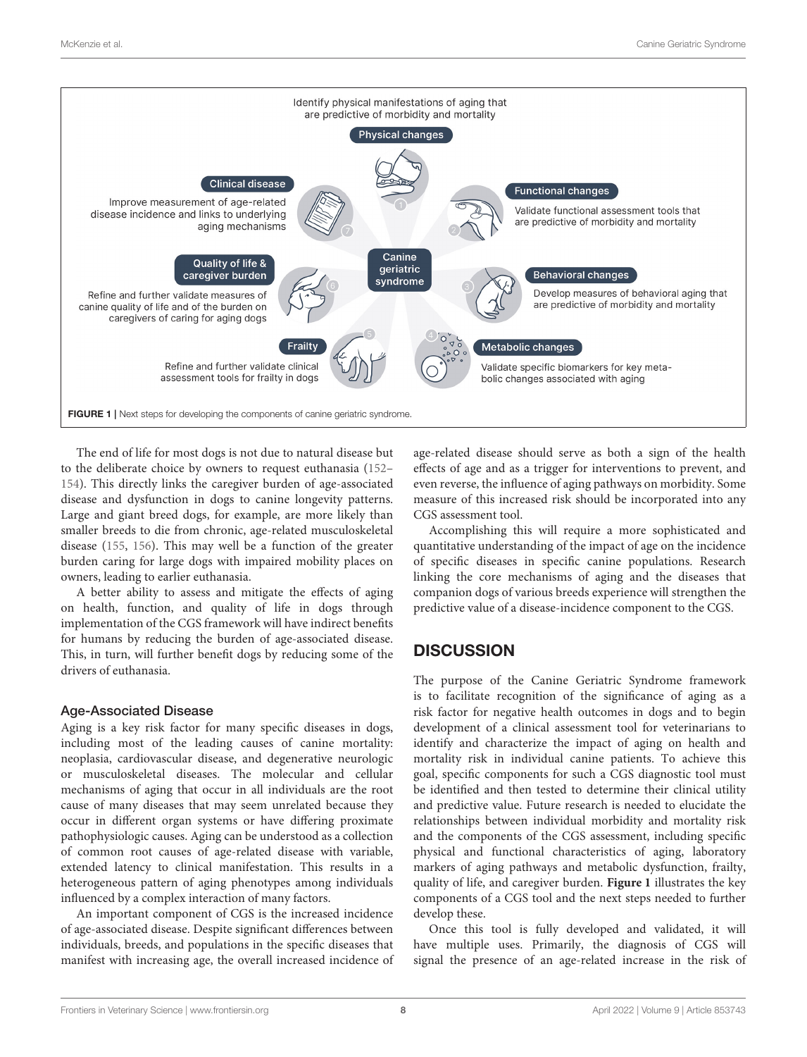

<span id="page-7-0"></span>The end of life for most dogs is not due to natural disease but to the deliberate choice by owners to request euthanasia [\(152–](#page-11-31) [154\)](#page-11-32). This directly links the caregiver burden of age-associated disease and dysfunction in dogs to canine longevity patterns. Large and giant breed dogs, for example, are more likely than smaller breeds to die from chronic, age-related musculoskeletal disease [\(155,](#page-11-33) [156\)](#page-12-0). This may well be a function of the greater burden caring for large dogs with impaired mobility places on owners, leading to earlier euthanasia.

A better ability to assess and mitigate the effects of aging on health, function, and quality of life in dogs through implementation of the CGS framework will have indirect benefits for humans by reducing the burden of age-associated disease. This, in turn, will further benefit dogs by reducing some of the drivers of euthanasia.

#### Age-Associated Disease

Aging is a key risk factor for many specific diseases in dogs, including most of the leading causes of canine mortality: neoplasia, cardiovascular disease, and degenerative neurologic or musculoskeletal diseases. The molecular and cellular mechanisms of aging that occur in all individuals are the root cause of many diseases that may seem unrelated because they occur in different organ systems or have differing proximate pathophysiologic causes. Aging can be understood as a collection of common root causes of age-related disease with variable, extended latency to clinical manifestation. This results in a heterogeneous pattern of aging phenotypes among individuals influenced by a complex interaction of many factors.

An important component of CGS is the increased incidence of age-associated disease. Despite significant differences between individuals, breeds, and populations in the specific diseases that manifest with increasing age, the overall increased incidence of age-related disease should serve as both a sign of the health effects of age and as a trigger for interventions to prevent, and even reverse, the influence of aging pathways on morbidity. Some measure of this increased risk should be incorporated into any CGS assessment tool.

Accomplishing this will require a more sophisticated and quantitative understanding of the impact of age on the incidence of specific diseases in specific canine populations. Research linking the core mechanisms of aging and the diseases that companion dogs of various breeds experience will strengthen the predictive value of a disease-incidence component to the CGS.

# **DISCUSSION**

The purpose of the Canine Geriatric Syndrome framework is to facilitate recognition of the significance of aging as a risk factor for negative health outcomes in dogs and to begin development of a clinical assessment tool for veterinarians to identify and characterize the impact of aging on health and mortality risk in individual canine patients. To achieve this goal, specific components for such a CGS diagnostic tool must be identified and then tested to determine their clinical utility and predictive value. Future research is needed to elucidate the relationships between individual morbidity and mortality risk and the components of the CGS assessment, including specific physical and functional characteristics of aging, laboratory markers of aging pathways and metabolic dysfunction, frailty, quality of life, and caregiver burden. **[Figure 1](#page-7-0)** illustrates the key components of a CGS tool and the next steps needed to further develop these.

Once this tool is fully developed and validated, it will have multiple uses. Primarily, the diagnosis of CGS will signal the presence of an age-related increase in the risk of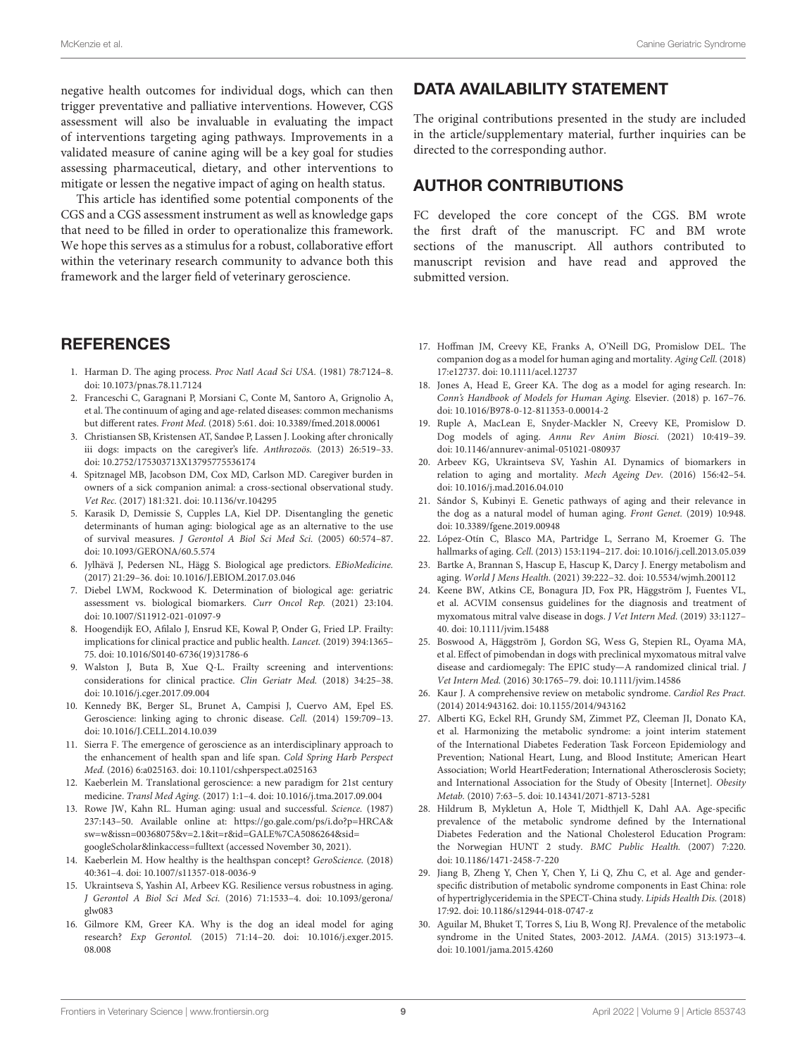negative health outcomes for individual dogs, which can then trigger preventative and palliative interventions. However, CGS assessment will also be invaluable in evaluating the impact of interventions targeting aging pathways. Improvements in a validated measure of canine aging will be a key goal for studies assessing pharmaceutical, dietary, and other interventions to mitigate or lessen the negative impact of aging on health status.

This article has identified some potential components of the CGS and a CGS assessment instrument as well as knowledge gaps that need to be filled in order to operationalize this framework. We hope this serves as a stimulus for a robust, collaborative effort within the veterinary research community to advance both this framework and the larger field of veterinary geroscience.

## **REFERENCES**

- <span id="page-8-0"></span>1. Harman D. The aging process. Proc Natl Acad Sci USA. (1981) 78:7124–8. doi: [10.1073/pnas.78.11.7124](https://doi.org/10.1073/pnas.78.11.7124)
- <span id="page-8-1"></span>2. Franceschi C, Garagnani P, Morsiani C, Conte M, Santoro A, Grignolio A, et al. The continuum of aging and age-related diseases: common mechanisms but different rates. Front Med. (2018) 5:61. doi: [10.3389/fmed.2018.00061](https://doi.org/10.3389/fmed.2018.00061)
- <span id="page-8-2"></span>3. Christiansen SB, Kristensen AT, Sandøe P, Lassen J. Looking after chronically iii dogs: impacts on the caregiver's life. Anthrozoös. (2013) 26:519–33. doi: [10.2752/175303713X13795775536174](https://doi.org/10.2752/175303713X13795775536174)
- <span id="page-8-3"></span>4. Spitznagel MB, Jacobson DM, Cox MD, Carlson MD. Caregiver burden in owners of a sick companion animal: a cross-sectional observational study. Vet Rec. (2017) 181:321. doi: [10.1136/vr.104295](https://doi.org/10.1136/vr.104295)
- <span id="page-8-10"></span>5. Karasik D, Demissie S, Cupples LA, Kiel DP. Disentangling the genetic determinants of human aging: biological age as an alternative to the use of survival measures. J Gerontol A Biol Sci Med Sci. (2005) 60:574–87. doi: [10.1093/GERONA/60.5.574](https://doi.org/10.1093/GERONA/60.5.574)
- <span id="page-8-11"></span>6. Jylhävä J, Pedersen NL, Hägg S. Biological age predictors. EBioMedicine. (2017) 21:29–36. doi: [10.1016/J.EBIOM.2017.03.046](https://doi.org/10.1016/J.EBIOM.2017.03.046)
- <span id="page-8-12"></span>7. Diebel LWM, Rockwood K. Determination of biological age: geriatric assessment vs. biological biomarkers. Curr Oncol Rep. (2021) 23:104. doi: [10.1007/S11912-021-01097-9](https://doi.org/10.1007/S11912-021-01097-9)
- <span id="page-8-13"></span>8. Hoogendijk EO, Afilalo J, Ensrud KE, Kowal P, Onder G, Fried LP. Frailty: implications for clinical practice and public health. Lancet. (2019) 394:1365– 75. doi: [10.1016/S0140-6736\(19\)31786-6](https://doi.org/10.1016/S0140-6736(19)31786-6)
- <span id="page-8-14"></span>9. Walston J, Buta B, Xue Q-L. Frailty screening and interventions: considerations for clinical practice. Clin Geriatr Med. (2018) 34:25–38. doi: [10.1016/j.cger.2017.09.004](https://doi.org/10.1016/j.cger.2017.09.004)
- <span id="page-8-15"></span>10. Kennedy BK, Berger SL, Brunet A, Campisi J, Cuervo AM, Epel ES. Geroscience: linking aging to chronic disease. Cell. (2014) 159:709–13. doi: [10.1016/J.CELL.2014.10.039](https://doi.org/10.1016/J.CELL.2014.10.039)
- <span id="page-8-16"></span>11. Sierra F. The emergence of geroscience as an interdisciplinary approach to the enhancement of health span and life span. Cold Spring Harb Perspect Med. (2016) 6:a025163. doi: [10.1101/cshperspect.a025163](https://doi.org/10.1101/cshperspect.a025163)
- <span id="page-8-17"></span>12. Kaeberlein M. Translational geroscience: a new paradigm for 21st century medicine. Transl Med Aging. (2017) 1:1–4. doi: [10.1016/j.tma.2017.09.004](https://doi.org/10.1016/j.tma.2017.09.004)
- <span id="page-8-18"></span>13. Rowe JW, Kahn RL. Human aging: usual and successful. Science. (1987) 237:143–50. Available online at: [https://go.gale.com/ps/i.do?p=HRCA&](https://go.gale.com/ps/i.do?p=HRCA&sw=w&issn=00368075&v=2.1&it=r&id=GALE%7CA5086264&sid=googleScholar&linkaccess=fulltext) [sw=w&issn=00368075&v=2.1&it=r&id=GALE%7CA5086264&sid=](https://go.gale.com/ps/i.do?p=HRCA&sw=w&issn=00368075&v=2.1&it=r&id=GALE%7CA5086264&sid=googleScholar&linkaccess=fulltext) [googleScholar&linkaccess=fulltext](https://go.gale.com/ps/i.do?p=HRCA&sw=w&issn=00368075&v=2.1&it=r&id=GALE%7CA5086264&sid=googleScholar&linkaccess=fulltext) (accessed November 30, 2021).
- <span id="page-8-19"></span>14. Kaeberlein M. How healthy is the healthspan concept? GeroScience. (2018) 40:361–4. doi: [10.1007/s11357-018-0036-9](https://doi.org/10.1007/s11357-018-0036-9)
- <span id="page-8-20"></span>15. Ukraintseva S, Yashin AI, Arbeev KG. Resilience versus robustness in aging. J Gerontol A Biol Sci Med Sci. [\(2016\) 71:1533–4. doi: 10.1093/gerona/](https://doi.org/10.1093/gerona/glw083) glw083
- <span id="page-8-4"></span>16. Gilmore KM, Greer KA. Why is the dog an ideal model for aging research? Exp Gerontol. [\(2015\) 71:14–20. doi: 10.1016/j.exger.2015.](https://doi.org/10.1016/j.exger.2015.08.008) 08.008

## DATA AVAILABILITY STATEMENT

The original contributions presented in the study are included in the article/supplementary material, further inquiries can be directed to the corresponding author.

## AUTHOR CONTRIBUTIONS

FC developed the core concept of the CGS. BM wrote the first draft of the manuscript. FC and BM wrote sections of the manuscript. All authors contributed to manuscript revision and have read and approved the submitted version.

- 17. Hoffman JM, Creevy KE, Franks A, O'Neill DG, Promislow DEL. The companion dog as a model for human aging and mortality. Aging Cell. (2018) 17:e12737. doi: [10.1111/acel.12737](https://doi.org/10.1111/acel.12737)
- <span id="page-8-5"></span>18. Jones A, Head E, Greer KA. The dog as a model for aging research. In: Conn's Handbook of Models for Human Aging. Elsevier. (2018) p. 167–76. doi: [10.1016/B978-0-12-811353-0.00014-2](https://doi.org/10.1016/B978-0-12-811353-0.00014-2)
- <span id="page-8-6"></span>19. Ruple A, MacLean E, Snyder-Mackler N, Creevy KE, Promislow D. Dog models of aging. Annu Rev Anim Biosci. (2021) 10:419–39. doi: [10.1146/annurev-animal-051021-080937](https://doi.org/10.1146/annurev-animal-051021-080937)
- <span id="page-8-7"></span>20. Arbeev KG, Ukraintseva SV, Yashin AI. Dynamics of biomarkers in relation to aging and mortality. Mech Ageing Dev. (2016) 156:42–54. doi: [10.1016/j.mad.2016.04.010](https://doi.org/10.1016/j.mad.2016.04.010)
- <span id="page-8-8"></span>21. Sándor S, Kubinyi E. Genetic pathways of aging and their relevance in the dog as a natural model of human aging. Front Genet. (2019) 10:948. doi: [10.3389/fgene.2019.00948](https://doi.org/10.3389/fgene.2019.00948)
- 22. López-Otín C, Blasco MA, Partridge L, Serrano M, Kroemer G. The hallmarks of aging. Cell. (2013) 153:1194–217. doi: [10.1016/j.cell.2013.05.039](https://doi.org/10.1016/j.cell.2013.05.039)
- <span id="page-8-9"></span>23. Bartke A, Brannan S, Hascup E, Hascup K, Darcy J. Energy metabolism and aging. World J Mens Health. (2021) 39:222–32. doi: [10.5534/wjmh.200112](https://doi.org/10.5534/wjmh.200112)
- <span id="page-8-21"></span>24. Keene BW, Atkins CE, Bonagura JD, Fox PR, Häggström J, Fuentes VL, et al. ACVIM consensus guidelines for the diagnosis and treatment of myxomatous mitral valve disease in dogs. J Vet Intern Med. (2019) 33:1127– 40. doi: [10.1111/jvim.15488](https://doi.org/10.1111/jvim.15488)
- <span id="page-8-22"></span>25. Boswood A, Häggström J, Gordon SG, Wess G, Stepien RL, Oyama MA, et al. Effect of pimobendan in dogs with preclinical myxomatous mitral valve disease and cardiomegaly: The EPIC study—A randomized clinical trial. J Vet Intern Med. (2016) 30:1765–79. doi: [10.1111/jvim.14586](https://doi.org/10.1111/jvim.14586)
- <span id="page-8-23"></span>26. Kaur J. A comprehensive review on metabolic syndrome. Cardiol Res Pract. (2014) 2014:943162. doi: [10.1155/2014/943162](https://doi.org/10.1155/2014/943162)
- <span id="page-8-24"></span>27. Alberti KG, Eckel RH, Grundy SM, Zimmet PZ, Cleeman JI, Donato KA, et al. Harmonizing the metabolic syndrome: a joint interim statement of the International Diabetes Federation Task Forceon Epidemiology and Prevention; National Heart, Lung, and Blood Institute; American Heart Association; World HeartFederation; International Atherosclerosis Society; and International Association for the Study of Obesity [Internet]. Obesity Metab. (2010) 7:63–5. doi: [10.14341/2071-8713-5281](https://doi.org/10.14341/2071-8713-5281)
- <span id="page-8-25"></span>28. Hildrum B, Mykletun A, Hole T, Midthjell K, Dahl AA. Age-specific prevalence of the metabolic syndrome defined by the International Diabetes Federation and the National Cholesterol Education Program: the Norwegian HUNT 2 study. BMC Public Health. (2007) 7:220. doi: [10.1186/1471-2458-7-220](https://doi.org/10.1186/1471-2458-7-220)
- 29. Jiang B, Zheng Y, Chen Y, Chen Y, Li Q, Zhu C, et al. Age and genderspecific distribution of metabolic syndrome components in East China: role of hypertriglyceridemia in the SPECT-China study. Lipids Health Dis. (2018) 17:92. doi: [10.1186/s12944-018-0747-z](https://doi.org/10.1186/s12944-018-0747-z)
- <span id="page-8-26"></span>30. Aguilar M, Bhuket T, Torres S, Liu B, Wong RJ. Prevalence of the metabolic syndrome in the United States, 2003-2012. JAMA. (2015) 313:1973–4. doi: [10.1001/jama.2015.4260](https://doi.org/10.1001/jama.2015.4260)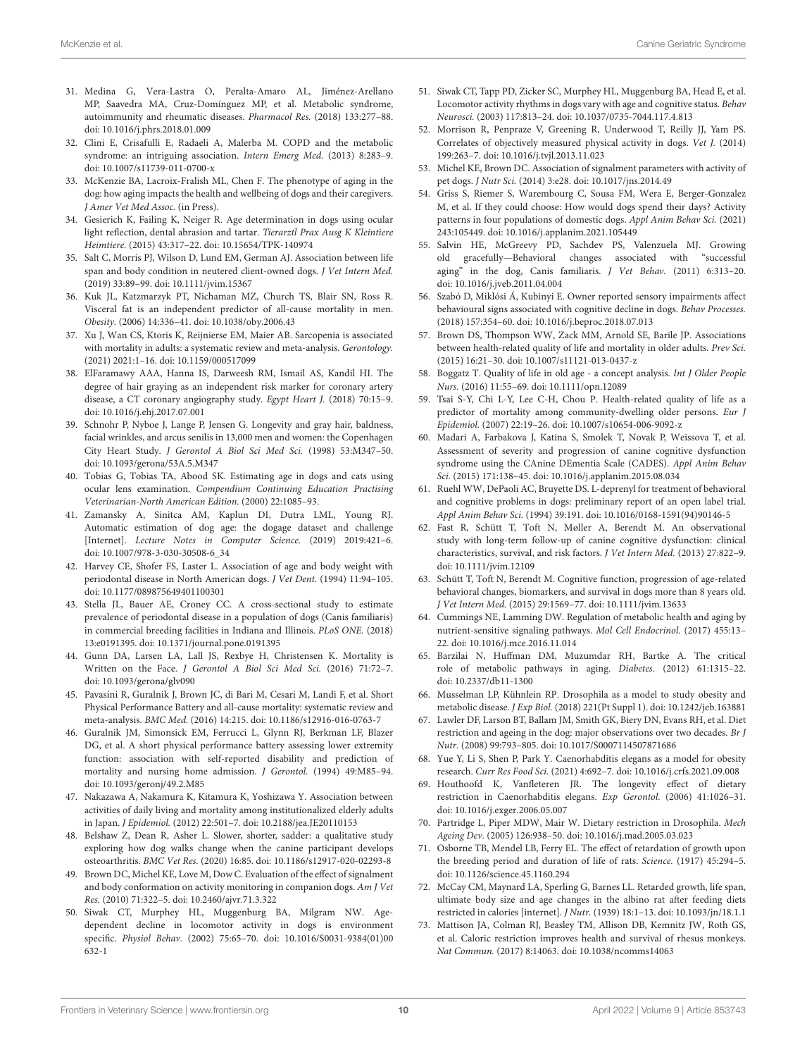- <span id="page-9-0"></span>31. Medina G, Vera-Lastra O, Peralta-Amaro AL, Jiménez-Arellano MP, Saavedra MA, Cruz-Domínguez MP, et al. Metabolic syndrome, autoimmunity and rheumatic diseases. Pharmacol Res. (2018) 133:277–88. doi: [10.1016/j.phrs.2018.01.009](https://doi.org/10.1016/j.phrs.2018.01.009)
- <span id="page-9-1"></span>32. Clini E, Crisafulli E, Radaeli A, Malerba M. COPD and the metabolic syndrome: an intriguing association. Intern Emerg Med. (2013) 8:283–9. doi: [10.1007/s11739-011-0700-x](https://doi.org/10.1007/s11739-011-0700-x)
- <span id="page-9-2"></span>33. McKenzie BA, Lacroix-Fralish ML, Chen F. The phenotype of aging in the dog: how aging impacts the health and wellbeing of dogs and their caregivers. J Amer Vet Med Assoc. (in Press).
- <span id="page-9-3"></span>34. Gesierich K, Failing K, Neiger R. Age determination in dogs using ocular light reflection, dental abrasion and tartar. Tierarztl Prax Ausg K Kleintiere Heimtiere. (2015) 43:317–22. doi: [10.15654/TPK-140974](https://doi.org/10.15654/TPK-140974)
- <span id="page-9-4"></span>35. Salt C, Morris PJ, Wilson D, Lund EM, German AJ. Association between life span and body condition in neutered client-owned dogs. J Vet Intern Med. (2019) 33:89–99. doi: [10.1111/jvim.15367](https://doi.org/10.1111/jvim.15367)
- <span id="page-9-5"></span>36. Kuk JL, Katzmarzyk PT, Nichaman MZ, Church TS, Blair SN, Ross R. Visceral fat is an independent predictor of all-cause mortality in men. Obesity. (2006) 14:336–41. doi: [10.1038/oby.2006.43](https://doi.org/10.1038/oby.2006.43)
- <span id="page-9-6"></span>37. Xu J, Wan CS, Ktoris K, Reijnierse EM, Maier AB. Sarcopenia is associated with mortality in adults: a systematic review and meta-analysis. Gerontology. (2021) 2021:1–16. doi: [10.1159/000517099](https://doi.org/10.1159/000517099)
- <span id="page-9-7"></span>38. ElFaramawy AAA, Hanna IS, Darweesh RM, Ismail AS, Kandil HI. The degree of hair graying as an independent risk marker for coronary artery disease, a CT coronary angiography study. Egypt Heart J. (2018) 70:15–9. doi: [10.1016/j.ehj.2017.07.001](https://doi.org/10.1016/j.ehj.2017.07.001)
- <span id="page-9-8"></span>39. Schnohr P, Nyboe J, Lange P, Jensen G. Longevity and gray hair, baldness, facial wrinkles, and arcus senilis in 13,000 men and women: the Copenhagen City Heart Study. J Gerontol A Biol Sci Med Sci. (1998) 53:M347–50. doi: [10.1093/gerona/53A.5.M347](https://doi.org/10.1093/gerona/53A.5.M347)
- <span id="page-9-9"></span>40. Tobias G, Tobias TA, Abood SK. Estimating age in dogs and cats using ocular lens examination. Compendium Continuing Education Practising Veterinarian-North American Edition. (2000) 22:1085–93.
- <span id="page-9-10"></span>41. Zamansky A, Sinitca AM, Kaplun DI, Dutra LML, Young RJ. Automatic estimation of dog age: the dogage dataset and challenge [Internet]. Lecture Notes in Computer Science. (2019) 2019:421–6. doi: [10.1007/978-3-030-30508-6\\_34](https://doi.org/10.1007/978-3-030-30508-6_34)
- <span id="page-9-11"></span>42. Harvey CE, Shofer FS, Laster L. Association of age and body weight with periodontal disease in North American dogs. J Vet Dent. (1994) 11:94–105. doi: [10.1177/089875649401100301](https://doi.org/10.1177/089875649401100301)
- <span id="page-9-12"></span>43. Stella JL, Bauer AE, Croney CC. A cross-sectional study to estimate prevalence of periodontal disease in a population of dogs (Canis familiaris) in commercial breeding facilities in Indiana and Illinois. PLoS ONE. (2018) 13:e0191395. doi: [10.1371/journal.pone.0191395](https://doi.org/10.1371/journal.pone.0191395)
- <span id="page-9-13"></span>44. Gunn DA, Larsen LA, Lall JS, Rexbye H, Christensen K. Mortality is Written on the Face. J Gerontol A Biol Sci Med Sci. (2016) 71:72–7. doi: [10.1093/gerona/glv090](https://doi.org/10.1093/gerona/glv090)
- <span id="page-9-14"></span>45. Pavasini R, Guralnik J, Brown JC, di Bari M, Cesari M, Landi F, et al. Short Physical Performance Battery and all-cause mortality: systematic review and meta-analysis. BMC Med. (2016) 14:215. doi: [10.1186/s12916-016-0763-7](https://doi.org/10.1186/s12916-016-0763-7)
- 46. Guralnik JM, Simonsick EM, Ferrucci L, Glynn RJ, Berkman LF, Blazer DG, et al. A short physical performance battery assessing lower extremity function: association with self-reported disability and prediction of mortality and nursing home admission. J Gerontol. (1994) 49:M85–94. doi: [10.1093/geronj/49.2.M85](https://doi.org/10.1093/geronj/49.2.M85)
- <span id="page-9-15"></span>47. Nakazawa A, Nakamura K, Kitamura K, Yoshizawa Y. Association between activities of daily living and mortality among institutionalized elderly adults in Japan. J Epidemiol. (2012) 22:501–7. doi: [10.2188/jea.JE20110153](https://doi.org/10.2188/jea.JE20110153)
- <span id="page-9-16"></span>48. Belshaw Z, Dean R, Asher L. Slower, shorter, sadder: a qualitative study exploring how dog walks change when the canine participant develops osteoarthritis. BMC Vet Res. (2020) 16:85. doi: [10.1186/s12917-020-02293-8](https://doi.org/10.1186/s12917-020-02293-8)
- 49. Brown DC, Michel KE, Love M, Dow C. Evaluation of the effect of signalment and body conformation on activity monitoring in companion dogs. Am J Vet Res. (2010) 71:322–5. doi: [10.2460/ajvr.71.3.322](https://doi.org/10.2460/ajvr.71.3.322)
- 50. Siwak CT, Murphey HL, Muggenburg BA, Milgram NW. Agedependent decline in locomotor activity in dogs is environment specific. Physiol Behav. [\(2002\) 75:65–70. doi: 10.1016/S0031-9384\(01\)00](https://doi.org/10.1016/S0031-9384(01)00632-1) 632-1
- 51. Siwak CT, Tapp PD, Zicker SC, Murphey HL, Muggenburg BA, Head E, et al. Locomotor activity rhythms in dogs vary with age and cognitive status. Behav Neurosci. (2003) 117:813–24. doi: [10.1037/0735-7044.117.4.813](https://doi.org/10.1037/0735-7044.117.4.813)
- 52. Morrison R, Penpraze V, Greening R, Underwood T, Reilly JJ, Yam PS. Correlates of objectively measured physical activity in dogs. Vet J. (2014) 199:263–7. doi: [10.1016/j.tvjl.2013.11.023](https://doi.org/10.1016/j.tvjl.2013.11.023)
- 53. Michel KE, Brown DC. Association of signalment parameters with activity of pet dogs. J Nutr Sci. (2014) 3:e28. doi: [10.1017/jns.2014.49](https://doi.org/10.1017/jns.2014.49)
- <span id="page-9-17"></span>54. Griss S, Riemer S, Warembourg C, Sousa FM, Wera E, Berger-Gonzalez M, et al. If they could choose: How would dogs spend their days? Activity patterns in four populations of domestic dogs. Appl Anim Behav Sci. (2021) 243:105449. doi: [10.1016/j.applanim.2021.105449](https://doi.org/10.1016/j.applanim.2021.105449)
- <span id="page-9-18"></span>55. Salvin HE, McGreevy PD, Sachdev PS, Valenzuela MJ. Growing old gracefully—Behavioral changes associated with "successful aging" in the dog, Canis familiaris. J Vet Behav. (2011) 6:313–20. doi: [10.1016/j.jveb.2011.04.004](https://doi.org/10.1016/j.jveb.2011.04.004)
- <span id="page-9-19"></span>56. Szabó D, Miklósi Á, Kubinyi E. Owner reported sensory impairments affect behavioural signs associated with cognitive decline in dogs. Behav Processes. (2018) 157:354–60. doi: [10.1016/j.beproc.2018.07.013](https://doi.org/10.1016/j.beproc.2018.07.013)
- <span id="page-9-20"></span>57. Brown DS, Thompson WW, Zack MM, Arnold SE, Barile JP. Associations between health-related quality of life and mortality in older adults. Prev Sci. (2015) 16:21–30. doi: [10.1007/s11121-013-0437-z](https://doi.org/10.1007/s11121-013-0437-z)
- 58. Boggatz T. Quality of life in old age a concept analysis. Int J Older People Nurs. (2016) 11:55–69. doi: [10.1111/opn.12089](https://doi.org/10.1111/opn.12089)
- <span id="page-9-21"></span>59. Tsai S-Y, Chi L-Y, Lee C-H, Chou P. Health-related quality of life as a predictor of mortality among community-dwelling older persons. Eur J Epidemiol. (2007) 22:19–26. doi: [10.1007/s10654-006-9092-z](https://doi.org/10.1007/s10654-006-9092-z)
- <span id="page-9-22"></span>60. Madari A, Farbakova J, Katina S, Smolek T, Novak P, Weissova T, et al. Assessment of severity and progression of canine cognitive dysfunction syndrome using the CAnine DEmentia Scale (CADES). Appl Anim Behav Sci. (2015) 171:138–45. doi: [10.1016/j.applanim.2015.08.034](https://doi.org/10.1016/j.applanim.2015.08.034)
- <span id="page-9-23"></span>61. Ruehl WW, DePaoli AC, Bruyette DS. L-deprenyl for treatment of behavioral and cognitive problems in dogs: preliminary report of an open label trial. Appl Anim Behav Sci. (1994) 39:191. doi: [10.1016/0168-1591\(94\)90146-5](https://doi.org/10.1016/0168-1591(94)90146-5)
- 62. Fast R, Schütt T, Toft N, Møller A, Berendt M. An observational study with long-term follow-up of canine cognitive dysfunction: clinical characteristics, survival, and risk factors. J Vet Intern Med. (2013) 27:822–9. doi: [10.1111/jvim.12109](https://doi.org/10.1111/jvim.12109)
- <span id="page-9-24"></span>63. Schütt T, Toft N, Berendt M. Cognitive function, progression of age-related behavioral changes, biomarkers, and survival in dogs more than 8 years old. J Vet Intern Med. (2015) 29:1569–77. doi: [10.1111/jvim.13633](https://doi.org/10.1111/jvim.13633)
- <span id="page-9-25"></span>64. Cummings NE, Lamming DW. Regulation of metabolic health and aging by nutrient-sensitive signaling pathways. Mol Cell Endocrinol. (2017) 455:13– 22. doi: [10.1016/j.mce.2016.11.014](https://doi.org/10.1016/j.mce.2016.11.014)
- <span id="page-9-26"></span>65. Barzilai N, Huffman DM, Muzumdar RH, Bartke A. The critical role of metabolic pathways in aging. Diabetes. (2012) 61:1315–22. doi: [10.2337/db11-1300](https://doi.org/10.2337/db11-1300)
- <span id="page-9-27"></span>66. Musselman LP, Kühnlein RP. Drosophila as a model to study obesity and metabolic disease. J Exp Biol. (2018) 221(Pt Suppl 1). doi: [10.1242/jeb.163881](https://doi.org/10.1242/jeb.163881)
- <span id="page-9-29"></span>67. Lawler DF, Larson BT, Ballam JM, Smith GK, Biery DN, Evans RH, et al. Diet restriction and ageing in the dog: major observations over two decades. Br J Nutr. (2008) 99:793–805. doi: [10.1017/S0007114507871686](https://doi.org/10.1017/S0007114507871686)
- <span id="page-9-28"></span>68. Yue Y, Li S, Shen P, Park Y. Caenorhabditis elegans as a model for obesity research. Curr Res Food Sci. (2021) 4:692–7. doi: [10.1016/j.crfs.2021.09.008](https://doi.org/10.1016/j.crfs.2021.09.008)
- <span id="page-9-30"></span>69. Houthoofd K, Vanfleteren JR. The longevity effect of dietary restriction in Caenorhabditis elegans. Exp Gerontol. (2006) 41:1026–31. doi: [10.1016/j.exger.2006.05.007](https://doi.org/10.1016/j.exger.2006.05.007)
- 70. Partridge L, Piper MDW, Mair W. Dietary restriction in Drosophila. Mech Ageing Dev. (2005) 126:938–50. doi: [10.1016/j.mad.2005.03.023](https://doi.org/10.1016/j.mad.2005.03.023)
- 71. Osborne TB, Mendel LB, Ferry EL. The effect of retardation of growth upon the breeding period and duration of life of rats. Science. (1917) 45:294–5. doi: [10.1126/science.45.1160.294](https://doi.org/10.1126/science.45.1160.294)
- 72. McCay CM, Maynard LA, Sperling G, Barnes LL. Retarded growth, life span, ultimate body size and age changes in the albino rat after feeding diets restricted in calories [internet]. J Nutr. (1939) 18:1–13. doi: [10.1093/jn/18.1.1](https://doi.org/10.1093/jn/18.1.1)
- <span id="page-9-31"></span>73. Mattison JA, Colman RJ, Beasley TM, Allison DB, Kemnitz JW, Roth GS, et al. Caloric restriction improves health and survival of rhesus monkeys. Nat Commun. (2017) 8:14063. doi: [10.1038/ncomms14063](https://doi.org/10.1038/ncomms14063)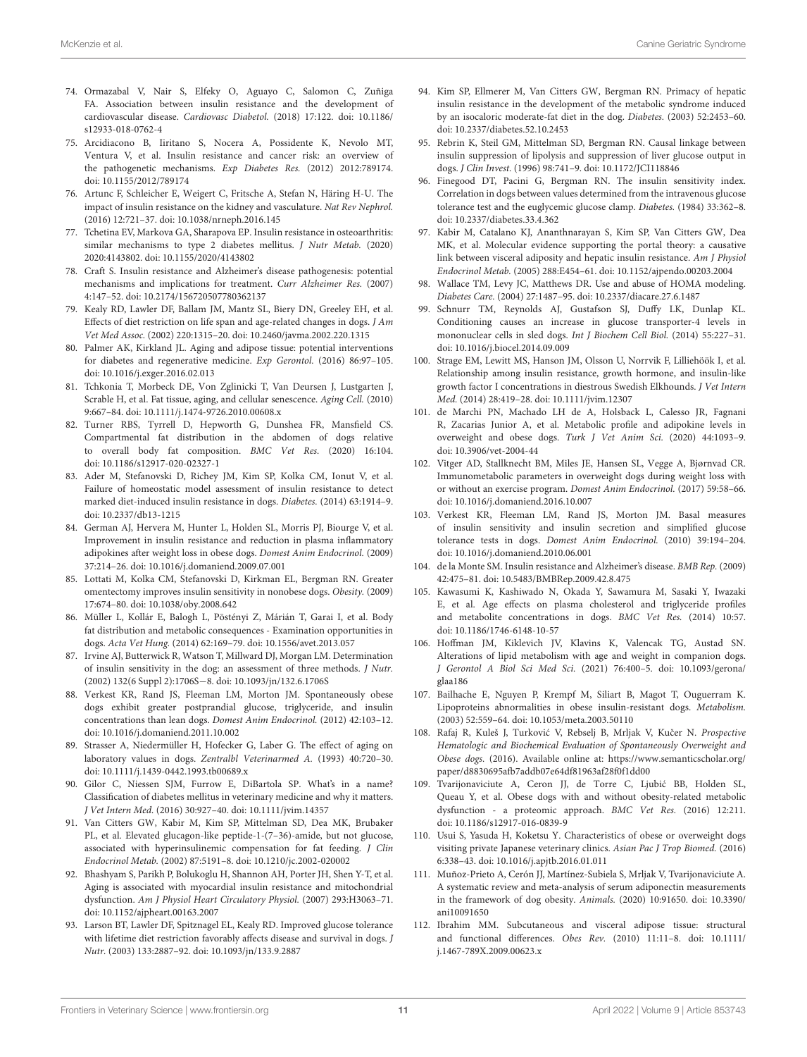- <span id="page-10-0"></span>74. Ormazabal V, Nair S, Elfeky O, Aguayo C, Salomon C, Zuñiga FA. Association between insulin resistance and the development of cardiovascular disease. Cardiovasc Diabetol. [\(2018\) 17:122. doi: 10.1186/](https://doi.org/10.1186/s12933-018-0762-4) s12933-018-0762-4
- 75. Arcidiacono B, Iiritano S, Nocera A, Possidente K, Nevolo MT, Ventura V, et al. Insulin resistance and cancer risk: an overview of the pathogenetic mechanisms. Exp Diabetes Res. (2012) 2012:789174. doi: [10.1155/2012/789174](https://doi.org/10.1155/2012/789174)
- 76. Artunc F, Schleicher E, Weigert C, Fritsche A, Stefan N, Häring H-U. The impact of insulin resistance on the kidney and vasculature. Nat Rev Nephrol. (2016) 12:721–37. doi: [10.1038/nrneph.2016.145](https://doi.org/10.1038/nrneph.2016.145)
- <span id="page-10-23"></span>77. Tchetina EV, Markova GA, Sharapova EP. Insulin resistance in osteoarthritis: similar mechanisms to type 2 diabetes mellitus. J Nutr Metab. (2020) 2020:4143802. doi: [10.1155/2020/4143802](https://doi.org/10.1155/2020/4143802)
- <span id="page-10-1"></span>78. Craft S. Insulin resistance and Alzheimer's disease pathogenesis: potential mechanisms and implications for treatment. Curr Alzheimer Res. (2007) 4:147–52. doi: [10.2174/156720507780362137](https://doi.org/10.2174/156720507780362137)
- <span id="page-10-2"></span>79. Kealy RD, Lawler DF, Ballam JM, Mantz SL, Biery DN, Greeley EH, et al. Effects of diet restriction on life span and age-related changes in dogs. J Am Vet Med Assoc. (2002) 220:1315–20. doi: [10.2460/javma.2002.220.1315](https://doi.org/10.2460/javma.2002.220.1315)
- <span id="page-10-3"></span>80. Palmer AK, Kirkland JL. Aging and adipose tissue: potential interventions for diabetes and regenerative medicine. Exp Gerontol. (2016) 86:97–105. doi: [10.1016/j.exger.2016.02.013](https://doi.org/10.1016/j.exger.2016.02.013)
- <span id="page-10-4"></span>81. Tchkonia T, Morbeck DE, Von Zglinicki T, Van Deursen J, Lustgarten J, Scrable H, et al. Fat tissue, aging, and cellular senescence. Aging Cell. (2010) 9:667–84. doi: [10.1111/j.1474-9726.2010.00608.x](https://doi.org/10.1111/j.1474-9726.2010.00608.x)
- <span id="page-10-5"></span>82. Turner RBS, Tyrrell D, Hepworth G, Dunshea FR, Mansfield CS. Compartmental fat distribution in the abdomen of dogs relative to overall body fat composition. BMC Vet Res. (2020) 16:104. doi: [10.1186/s12917-020-02327-1](https://doi.org/10.1186/s12917-020-02327-1)
- <span id="page-10-6"></span>83. Ader M, Stefanovski D, Richey JM, Kim SP, Kolka CM, Ionut V, et al. Failure of homeostatic model assessment of insulin resistance to detect marked diet-induced insulin resistance in dogs. Diabetes. (2014) 63:1914–9. doi: [10.2337/db13-1215](https://doi.org/10.2337/db13-1215)
- <span id="page-10-7"></span>84. German AJ, Hervera M, Hunter L, Holden SL, Morris PJ, Biourge V, et al. Improvement in insulin resistance and reduction in plasma inflammatory adipokines after weight loss in obese dogs. Domest Anim Endocrinol. (2009) 37:214–26. doi: [10.1016/j.domaniend.2009.07.001](https://doi.org/10.1016/j.domaniend.2009.07.001)
- <span id="page-10-8"></span>85. Lottati M, Kolka CM, Stefanovski D, Kirkman EL, Bergman RN. Greater omentectomy improves insulin sensitivity in nonobese dogs. Obesity. (2009) 17:674–80. doi: [10.1038/oby.2008.642](https://doi.org/10.1038/oby.2008.642)
- <span id="page-10-9"></span>86. Müller L, Kollár E, Balogh L, Pöstényi Z, Márián T, Garai I, et al. Body fat distribution and metabolic consequences - Examination opportunities in dogs. Acta Vet Hung. (2014) 62:169–79. doi: [10.1556/avet.2013.057](https://doi.org/10.1556/avet.2013.057)
- <span id="page-10-10"></span>87. Irvine AJ, Butterwick R, Watson T, Millward DJ, Morgan LM. Determination of insulin sensitivity in the dog: an assessment of three methods. J Nutr. (2002) 132(6 Suppl 2):1706S−8. doi: [10.1093/jn/132.6.1706S](https://doi.org/10.1093/jn/132.6.1706S)
- <span id="page-10-11"></span>88. Verkest KR, Rand JS, Fleeman LM, Morton JM. Spontaneously obese dogs exhibit greater postprandial glucose, triglyceride, and insulin concentrations than lean dogs. Domest Anim Endocrinol. (2012) 42:103–12. doi: [10.1016/j.domaniend.2011.10.002](https://doi.org/10.1016/j.domaniend.2011.10.002)
- <span id="page-10-12"></span>89. Strasser A, Niedermüller H, Hofecker G, Laber G. The effect of aging on laboratory values in dogs. Zentralbl Veterinarmed A. (1993) 40:720–30. doi: [10.1111/j.1439-0442.1993.tb00689.x](https://doi.org/10.1111/j.1439-0442.1993.tb00689.x)
- <span id="page-10-13"></span>90. Gilor C, Niessen SJM, Furrow E, DiBartola SP. What's in a name? Classification of diabetes mellitus in veterinary medicine and why it matters. J Vet Intern Med. (2016) 30:927–40. doi: [10.1111/jvim.14357](https://doi.org/10.1111/jvim.14357)
- <span id="page-10-14"></span>91. Van Citters GW, Kabir M, Kim SP, Mittelman SD, Dea MK, Brubaker PL, et al. Elevated glucagon-like peptide-1-(7–36)-amide, but not glucose, associated with hyperinsulinemic compensation for fat feeding. J Clin Endocrinol Metab. (2002) 87:5191–8. doi: [10.1210/jc.2002-020002](https://doi.org/10.1210/jc.2002-020002)
- <span id="page-10-15"></span>92. Bhashyam S, Parikh P, Bolukoglu H, Shannon AH, Porter JH, Shen Y-T, et al. Aging is associated with myocardial insulin resistance and mitochondrial dysfunction. Am J Physiol Heart Circulatory Physiol. (2007) 293:H3063–71. doi: [10.1152/ajpheart.00163.2007](https://doi.org/10.1152/ajpheart.00163.2007)
- <span id="page-10-16"></span>93. Larson BT, Lawler DF, Spitznagel EL, Kealy RD. Improved glucose tolerance with lifetime diet restriction favorably affects disease and survival in dogs. J Nutr. (2003) 133:2887–92. doi: [10.1093/jn/133.9.2887](https://doi.org/10.1093/jn/133.9.2887)
- <span id="page-10-17"></span>94. Kim SP, Ellmerer M, Van Citters GW, Bergman RN. Primacy of hepatic insulin resistance in the development of the metabolic syndrome induced by an isocaloric moderate-fat diet in the dog. Diabetes. (2003) 52:2453–60. doi: [10.2337/diabetes.52.10.2453](https://doi.org/10.2337/diabetes.52.10.2453)
- 95. Rebrin K, Steil GM, Mittelman SD, Bergman RN. Causal linkage between insulin suppression of lipolysis and suppression of liver glucose output in dogs. J Clin Invest. (1996) 98:741–9. doi: [10.1172/JCI118846](https://doi.org/10.1172/JCI118846)
- 96. Finegood DT, Pacini G, Bergman RN. The insulin sensitivity index. Correlation in dogs between values determined from the intravenous glucose tolerance test and the euglycemic glucose clamp. Diabetes. (1984) 33:362–8. doi: [10.2337/diabetes.33.4.362](https://doi.org/10.2337/diabetes.33.4.362)
- <span id="page-10-18"></span>97. Kabir M, Catalano KJ, Ananthnarayan S, Kim SP, Van Citters GW, Dea MK, et al. Molecular evidence supporting the portal theory: a causative link between visceral adiposity and hepatic insulin resistance. Am J Physiol Endocrinol Metab. (2005) 288:E454–61. doi: [10.1152/ajpendo.00203.2004](https://doi.org/10.1152/ajpendo.00203.2004)
- <span id="page-10-19"></span>98. Wallace TM, Levy JC, Matthews DR. Use and abuse of HOMA modeling. Diabetes Care. (2004) 27:1487–95. doi: [10.2337/diacare.27.6.1487](https://doi.org/10.2337/diacare.27.6.1487)
- <span id="page-10-20"></span>99. Schnurr TM, Reynolds AJ, Gustafson SJ, Duffy LK, Dunlap KL. Conditioning causes an increase in glucose transporter-4 levels in mononuclear cells in sled dogs. Int J Biochem Cell Biol. (2014) 55:227–31. doi: [10.1016/j.biocel.2014.09.009](https://doi.org/10.1016/j.biocel.2014.09.009)
- 100. Strage EM, Lewitt MS, Hanson JM, Olsson U, Norrvik F, Lilliehöök I, et al. Relationship among insulin resistance, growth hormone, and insulin-like growth factor I concentrations in diestrous Swedish Elkhounds. J Vet Intern Med. (2014) 28:419–28. doi: [10.1111/jvim.12307](https://doi.org/10.1111/jvim.12307)
- 101. de Marchi PN, Machado LH de A, Holsback L, Calesso JR, Fagnani R, Zacarias Junior A, et al. Metabolic profile and adipokine levels in overweight and obese dogs. Turk J Vet Anim Sci. (2020) 44:1093–9. doi: [10.3906/vet-2004-44](https://doi.org/10.3906/vet-2004-44)
- <span id="page-10-21"></span>102. Vitger AD, Stallknecht BM, Miles JE, Hansen SL, Vegge A, Bjørnvad CR. Immunometabolic parameters in overweight dogs during weight loss with or without an exercise program. Domest Anim Endocrinol. (2017) 59:58–66. doi: [10.1016/j.domaniend.2016.10.007](https://doi.org/10.1016/j.domaniend.2016.10.007)
- <span id="page-10-22"></span>103. Verkest KR, Fleeman LM, Rand JS, Morton JM. Basal measures of insulin sensitivity and insulin secretion and simplified glucose tolerance tests in dogs. Domest Anim Endocrinol. (2010) 39:194–204. doi: [10.1016/j.domaniend.2010.06.001](https://doi.org/10.1016/j.domaniend.2010.06.001)
- <span id="page-10-24"></span>104. de la Monte SM. Insulin resistance and Alzheimer's disease. BMB Rep. (2009) 42:475–81. doi: [10.5483/BMBRep.2009.42.8.475](https://doi.org/10.5483/BMBRep.2009.42.8.475)
- <span id="page-10-25"></span>105. Kawasumi K, Kashiwado N, Okada Y, Sawamura M, Sasaki Y, Iwazaki E, et al. Age effects on plasma cholesterol and triglyceride profiles and metabolite concentrations in dogs. BMC Vet Res. (2014) 10:57. doi: [10.1186/1746-6148-10-57](https://doi.org/10.1186/1746-6148-10-57)
- <span id="page-10-26"></span>106. Hoffman JM, Kiklevich JV, Klavins K, Valencak TG, Austad SN. Alterations of lipid metabolism with age and weight in companion dogs. J Gerontol A Biol Sci Med Sci. [\(2021\) 76:400–5. doi: 10.1093/gerona/](https://doi.org/10.1093/gerona/glaa186) glaa186
- <span id="page-10-27"></span>107. Bailhache E, Nguyen P, Krempf M, Siliart B, Magot T, Ouguerram K. Lipoproteins abnormalities in obese insulin-resistant dogs. Metabolism. (2003) 52:559–64. doi: [10.1053/meta.2003.50110](https://doi.org/10.1053/meta.2003.50110)
- 108. Rafaj R, Kuleš J, Turković V, Rebselj B, Mrljak V, Kučer N. Prospective Hematologic and Biochemical Evaluation of Spontaneously Overweight and Obese dogs. (2016). Available online at: [https://www.semanticscholar.org/](https://www.semanticscholar.org/paper/d8830695afb7addb07e64df81963af28f0f1dd00) [paper/d8830695afb7addb07e64df81963af28f0f1dd00](https://www.semanticscholar.org/paper/d8830695afb7addb07e64df81963af28f0f1dd00)
- <span id="page-10-28"></span>109. Tvarijonaviciute A, Ceron JJ, de Torre C, Ljubic BB, Holden SL, ´ Queau Y, et al. Obese dogs with and without obesity-related metabolic dysfunction - a proteomic approach. BMC Vet Res. (2016) 12:211. doi: [10.1186/s12917-016-0839-9](https://doi.org/10.1186/s12917-016-0839-9)
- <span id="page-10-29"></span>110. Usui S, Yasuda H, Koketsu Y. Characteristics of obese or overweight dogs visiting private Japanese veterinary clinics. Asian Pac J Trop Biomed. (2016) 6:338–43. doi: [10.1016/j.apjtb.2016.01.011](https://doi.org/10.1016/j.apjtb.2016.01.011)
- <span id="page-10-30"></span>111. Muñoz-Prieto A, Cerón JJ, Martínez-Subiela S, Mrljak V, Tvarijonaviciute A. A systematic review and meta-analysis of serum adiponectin measurements [in the framework of dog obesity.](https://doi.org/10.3390/ani10091650) Animals. (2020) 10:91650. doi: 10.3390/ ani10091650
- <span id="page-10-31"></span>112. Ibrahim MM. Subcutaneous and visceral adipose tissue: structural and functional differences. Obes Rev. [\(2010\) 11:11–8. doi: 10.1111/](https://doi.org/10.1111/j.1467-789X.2009.00623.x) j.1467-789X.2009.00623.x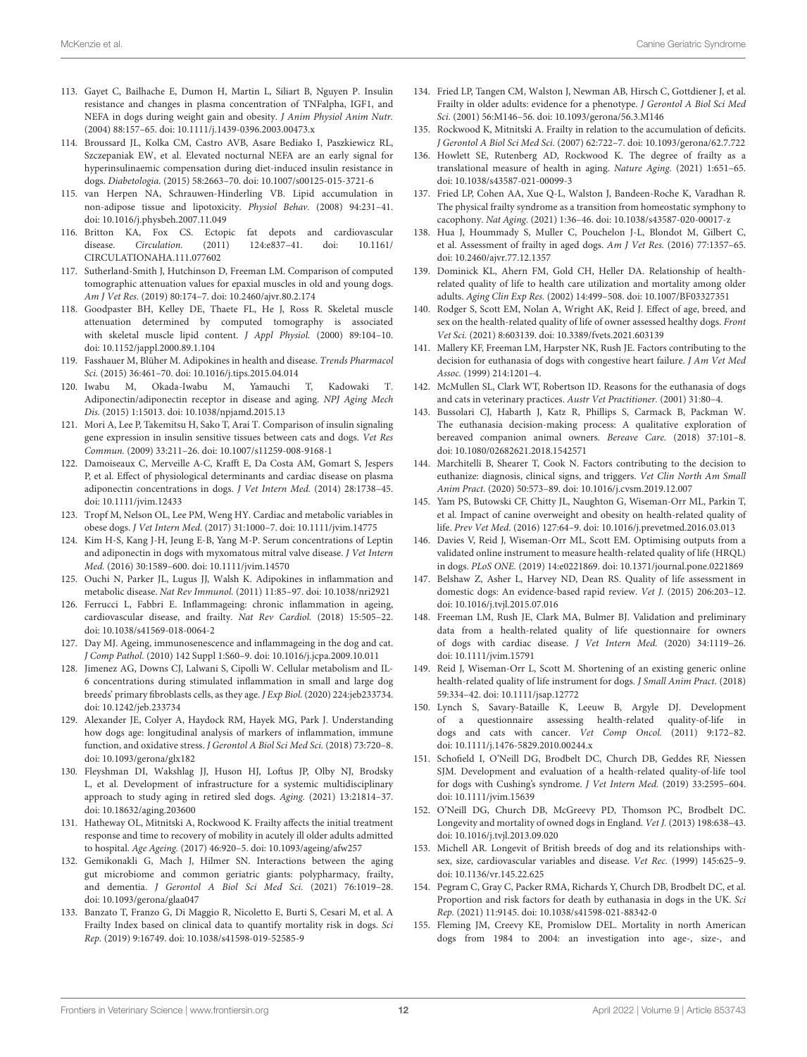- <span id="page-11-0"></span>113. Gayet C, Bailhache E, Dumon H, Martin L, Siliart B, Nguyen P. Insulin resistance and changes in plasma concentration of TNFalpha, IGF1, and NEFA in dogs during weight gain and obesity. J Anim Physiol Anim Nutr. (2004) 88:157–65. doi: [10.1111/j.1439-0396.2003.00473.x](https://doi.org/10.1111/j.1439-0396.2003.00473.x)
- <span id="page-11-1"></span>114. Broussard JL, Kolka CM, Castro AVB, Asare Bediako I, Paszkiewicz RL, Szczepaniak EW, et al. Elevated nocturnal NEFA are an early signal for hyperinsulinaemic compensation during diet-induced insulin resistance in dogs. Diabetologia. (2015) 58:2663–70. doi: [10.1007/s00125-015-3721-6](https://doi.org/10.1007/s00125-015-3721-6)
- <span id="page-11-2"></span>115. van Herpen NA, Schrauwen-Hinderling VB. Lipid accumulation in non-adipose tissue and lipotoxicity. Physiol Behav. (2008) 94:231–41. doi: [10.1016/j.physbeh.2007.11.049](https://doi.org/10.1016/j.physbeh.2007.11.049)
- <span id="page-11-3"></span>116. Britton KA, Fox CS. Ectopic fat depots and cardiovascular disease. Circulation. [\(2011\) 124:e837–41. doi: 10.1161/](https://doi.org/10.1161/CIRCULATIONAHA.111.077602) CIRCULATIONAHA.111.077602
- <span id="page-11-4"></span>117. Sutherland-Smith J, Hutchinson D, Freeman LM. Comparison of computed tomographic attenuation values for epaxial muscles in old and young dogs. Am J Vet Res. (2019) 80:174–7. doi: [10.2460/ajvr.80.2.174](https://doi.org/10.2460/ajvr.80.2.174)
- <span id="page-11-5"></span>118. Goodpaster BH, Kelley DE, Thaete FL, He J, Ross R. Skeletal muscle attenuation determined by computed tomography is associated with skeletal muscle lipid content. J Appl Physiol. (2000) 89:104–10. doi: [10.1152/jappl.2000.89.1.104](https://doi.org/10.1152/jappl.2000.89.1.104)
- <span id="page-11-6"></span>119. Fasshauer M, Blüher M. Adipokines in health and disease. Trends Pharmacol Sci. (2015) 36:461–70. doi: [10.1016/j.tips.2015.04.014](https://doi.org/10.1016/j.tips.2015.04.014)
- <span id="page-11-7"></span>120. Iwabu M, Okada-Iwabu M, Yamauchi T, Kadowaki T. Adiponectin/adiponectin receptor in disease and aging. NPJ Aging Mech Dis. (2015) 1:15013. doi: [10.1038/npjamd.2015.13](https://doi.org/10.1038/npjamd.2015.13)
- <span id="page-11-8"></span>121. Mori A, Lee P, Takemitsu H, Sako T, Arai T. Comparison of insulin signaling gene expression in insulin sensitive tissues between cats and dogs. Vet Res Commun. (2009) 33:211–26. doi: [10.1007/s11259-008-9168-1](https://doi.org/10.1007/s11259-008-9168-1)
- <span id="page-11-9"></span>122. Damoiseaux C, Merveille A-C, Krafft E, Da Costa AM, Gomart S, Jespers P, et al. Effect of physiological determinants and cardiac disease on plasma adiponectin concentrations in dogs. J Vet Intern Med. (2014) 28:1738–45. doi: [10.1111/jvim.12433](https://doi.org/10.1111/jvim.12433)
- <span id="page-11-10"></span>123. Tropf M, Nelson OL, Lee PM, Weng HY. Cardiac and metabolic variables in obese dogs. J Vet Intern Med. (2017) 31:1000–7. doi: [10.1111/jvim.14775](https://doi.org/10.1111/jvim.14775)
- <span id="page-11-11"></span>124. Kim H-S, Kang J-H, Jeung E-B, Yang M-P. Serum concentrations of Leptin and adiponectin in dogs with myxomatous mitral valve disease. J Vet Intern Med. (2016) 30:1589–600. doi: [10.1111/jvim.14570](https://doi.org/10.1111/jvim.14570)
- <span id="page-11-12"></span>125. Ouchi N, Parker JL, Lugus JJ, Walsh K. Adipokines in inflammation and metabolic disease. Nat Rev Immunol. (2011) 11:85–97. doi: [10.1038/nri2921](https://doi.org/10.1038/nri2921)
- <span id="page-11-13"></span>126. Ferrucci L, Fabbri E. Inflammageing: chronic inflammation in ageing, cardiovascular disease, and frailty. Nat Rev Cardiol. (2018) 15:505–22. doi: [10.1038/s41569-018-0064-2](https://doi.org/10.1038/s41569-018-0064-2)
- <span id="page-11-14"></span>127. Day MJ. Ageing, immunosenescence and inflammageing in the dog and cat. J Comp Pathol. (2010) 142 Suppl 1:S60–9. doi: [10.1016/j.jcpa.2009.10.011](https://doi.org/10.1016/j.jcpa.2009.10.011)
- 128. Jimenez AG, Downs CJ, Lalwani S, Cipolli W. Cellular metabolism and IL-6 concentrations during stimulated inflammation in small and large dog breeds' primary fibroblasts cells, as they age. J Exp Biol. (2020) 224:jeb233734. doi: [10.1242/jeb.233734](https://doi.org/10.1242/jeb.233734)
- <span id="page-11-15"></span>129. Alexander JE, Colyer A, Haydock RM, Hayek MG, Park J. Understanding how dogs age: longitudinal analysis of markers of inflammation, immune function, and oxidative stress. J Gerontol A Biol Sci Med Sci. (2018) 73:720–8. doi: [10.1093/gerona/glx182](https://doi.org/10.1093/gerona/glx182)
- <span id="page-11-16"></span>130. Fleyshman DI, Wakshlag JJ, Huson HJ, Loftus JP, Olby NJ, Brodsky L, et al. Development of infrastructure for a systemic multidisciplinary approach to study aging in retired sled dogs. Aging. (2021) 13:21814–37. doi: [10.18632/aging.203600](https://doi.org/10.18632/aging.203600)
- <span id="page-11-17"></span>131. Hatheway OL, Mitnitski A, Rockwood K. Frailty affects the initial treatment response and time to recovery of mobility in acutely ill older adults admitted to hospital. Age Ageing. (2017) 46:920–5. doi: [10.1093/ageing/afw257](https://doi.org/10.1093/ageing/afw257)
- <span id="page-11-18"></span>132. Gemikonakli G, Mach J, Hilmer SN. Interactions between the aging gut microbiome and common geriatric giants: polypharmacy, frailty, and dementia. J Gerontol A Biol Sci Med Sci. (2021) 76:1019–28. doi: [10.1093/gerona/glaa047](https://doi.org/10.1093/gerona/glaa047)
- <span id="page-11-19"></span>133. Banzato T, Franzo G, Di Maggio R, Nicoletto E, Burti S, Cesari M, et al. A Frailty Index based on clinical data to quantify mortality risk in dogs. Sci Rep. (2019) 9:16749. doi: [10.1038/s41598-019-52585-9](https://doi.org/10.1038/s41598-019-52585-9)
- <span id="page-11-20"></span>134. Fried LP, Tangen CM, Walston J, Newman AB, Hirsch C, Gottdiener J, et al. Frailty in older adults: evidence for a phenotype. J Gerontol A Biol Sci Med Sci. (2001) 56:M146–56. doi: [10.1093/gerona/56.3.M146](https://doi.org/10.1093/gerona/56.3.M146)
- <span id="page-11-21"></span>135. Rockwood K, Mitnitski A. Frailty in relation to the accumulation of deficits. J Gerontol A Biol Sci Med Sci. (2007) 62:722–7. doi: [10.1093/gerona/62.7.722](https://doi.org/10.1093/gerona/62.7.722)
- <span id="page-11-22"></span>136. Howlett SE, Rutenberg AD, Rockwood K. The degree of frailty as a translational measure of health in aging. Nature Aging. (2021) 1:651–65. doi: [10.1038/s43587-021-00099-3](https://doi.org/10.1038/s43587-021-00099-3)
- <span id="page-11-23"></span>137. Fried LP, Cohen AA, Xue Q-L, Walston J, Bandeen-Roche K, Varadhan R. The physical frailty syndrome as a transition from homeostatic symphony to cacophony. Nat Aging. (2021) 1:36–46. doi: [10.1038/s43587-020-00017-z](https://doi.org/10.1038/s43587-020-00017-z)
- <span id="page-11-24"></span>138. Hua J, Hoummady S, Muller C, Pouchelon J-L, Blondot M, Gilbert C, et al. Assessment of frailty in aged dogs. Am J Vet Res. (2016) 77:1357–65. doi: [10.2460/ajvr.77.12.1357](https://doi.org/10.2460/ajvr.77.12.1357)
- <span id="page-11-25"></span>139. Dominick KL, Ahern FM, Gold CH, Heller DA. Relationship of healthrelated quality of life to health care utilization and mortality among older adults. Aging Clin Exp Res. (2002) 14:499–508. doi: [10.1007/BF03327351](https://doi.org/10.1007/BF03327351)
- <span id="page-11-26"></span>140. Rodger S, Scott EM, Nolan A, Wright AK, Reid J. Effect of age, breed, and sex on the health-related quality of life of owner assessed healthy dogs. Front Vet Sci. (2021) 8:603139. doi: [10.3389/fvets.2021.603139](https://doi.org/10.3389/fvets.2021.603139)
- <span id="page-11-27"></span>141. Mallery KF, Freeman LM, Harpster NK, Rush JE. Factors contributing to the decision for euthanasia of dogs with congestive heart failure. J Am Vet Med Assoc. (1999) 214:1201–4.
- 142. McMullen SL, Clark WT, Robertson ID. Reasons for the euthanasia of dogs and cats in veterinary practices. Austr Vet Practitioner. (2001) 31:80–4.
- 143. Bussolari CJ, Habarth J, Katz R, Phillips S, Carmack B, Packman W. The euthanasia decision-making process: A qualitative exploration of bereaved companion animal owners. Bereave Care. (2018) 37:101–8. doi: [10.1080/02682621.2018.1542571](https://doi.org/10.1080/02682621.2018.1542571)
- <span id="page-11-28"></span>144. Marchitelli B, Shearer T, Cook N. Factors contributing to the decision to euthanize: diagnosis, clinical signs, and triggers. Vet Clin North Am Small Anim Pract. (2020) 50:573–89. doi: [10.1016/j.cvsm.2019.12.007](https://doi.org/10.1016/j.cvsm.2019.12.007)
- <span id="page-11-29"></span>145. Yam PS, Butowski CF, Chitty JL, Naughton G, Wiseman-Orr ML, Parkin T, et al. Impact of canine overweight and obesity on health-related quality of life. Prev Vet Med. (2016) 127:64–9. doi: [10.1016/j.prevetmed.2016.03.013](https://doi.org/10.1016/j.prevetmed.2016.03.013)
- 146. Davies V, Reid J, Wiseman-Orr ML, Scott EM. Optimising outputs from a validated online instrument to measure health-related quality of life (HRQL) in dogs. PLoS ONE. (2019) 14:e0221869. doi: [10.1371/journal.pone.0221869](https://doi.org/10.1371/journal.pone.0221869)
- 147. Belshaw Z, Asher L, Harvey ND, Dean RS. Quality of life assessment in domestic dogs: An evidence-based rapid review. Vet J. (2015) 206:203–12. doi: [10.1016/j.tvjl.2015.07.016](https://doi.org/10.1016/j.tvjl.2015.07.016)
- 148. Freeman LM, Rush JE, Clark MA, Bulmer BJ. Validation and preliminary data from a health-related quality of life questionnaire for owners of dogs with cardiac disease. J Vet Intern Med. (2020) 34:1119–26. doi: [10.1111/jvim.15791](https://doi.org/10.1111/jvim.15791)
- 149. Reid J, Wiseman-Orr L, Scott M. Shortening of an existing generic online health-related quality of life instrument for dogs. J Small Anim Pract. (2018) 59:334–42. doi: [10.1111/jsap.12772](https://doi.org/10.1111/jsap.12772)
- 150. Lynch S, Savary-Bataille K, Leeuw B, Argyle DJ. Development of a questionnaire assessing health-related quality-of-life in dogs and cats with cancer. Vet Comp Oncol. (2011) 9:172–82. doi: [10.1111/j.1476-5829.2010.00244.x](https://doi.org/10.1111/j.1476-5829.2010.00244.x)
- <span id="page-11-30"></span>151. Schofield I, O'Neill DG, Brodbelt DC, Church DB, Geddes RF, Niessen SJM. Development and evaluation of a health-related quality-of-life tool for dogs with Cushing's syndrome. J Vet Intern Med. (2019) 33:2595–604. doi: [10.1111/jvim.15639](https://doi.org/10.1111/jvim.15639)
- <span id="page-11-31"></span>152. O'Neill DG, Church DB, McGreevy PD, Thomson PC, Brodbelt DC. Longevity and mortality of owned dogs in England. Vet J. (2013) 198:638–43. doi: [10.1016/j.tvjl.2013.09.020](https://doi.org/10.1016/j.tvjl.2013.09.020)
- 153. Michell AR. Longevit of British breeds of dog and its relationships withsex, size, cardiovascular variables and disease. Vet Rec. (1999) 145:625–9. doi: [10.1136/vr.145.22.625](https://doi.org/10.1136/vr.145.22.625)
- <span id="page-11-32"></span>154. Pegram C, Gray C, Packer RMA, Richards Y, Church DB, Brodbelt DC, et al. Proportion and risk factors for death by euthanasia in dogs in the UK. Sci Rep. (2021) 11:9145. doi: [10.1038/s41598-021-88342-0](https://doi.org/10.1038/s41598-021-88342-0)
- <span id="page-11-33"></span>155. Fleming JM, Creevy KE, Promislow DEL. Mortality in north American dogs from 1984 to 2004: an investigation into age-, size-, and